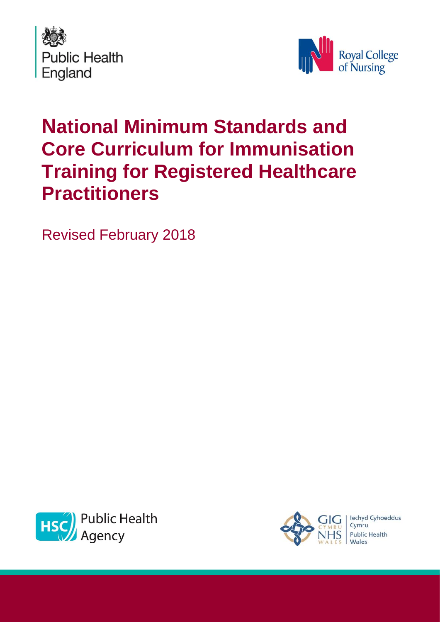



# **National Minimum Standards and Core Curriculum for Immunisation Training for Registered Healthcare Practitioners**

Revised February 2018



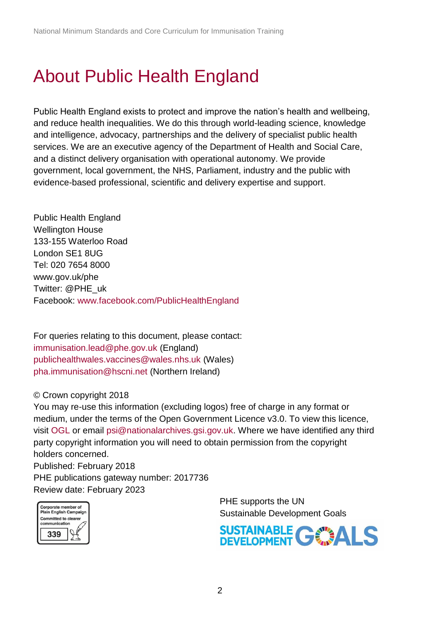# <span id="page-1-0"></span>About Public Health England

Public Health England exists to protect and improve the nation's health and wellbeing, and reduce health inequalities. We do this through world-leading science, knowledge and intelligence, advocacy, partnerships and the delivery of specialist public health services. We are an executive agency of the Department of Health and Social Care, and a distinct delivery organisation with operational autonomy. We provide government, local government, the NHS, Parliament, industry and the public with evidence-based professional, scientific and delivery expertise and support.

Public Health England Wellington House 133-155 Waterloo Road London SE1 8UG Tel: 020 7654 8000 [www.gov.uk/phe](http://www.gov.uk/phe) Twitter: [@PHE\\_uk](https://twitter.com/PHE_uk) Facebook: [www.facebook.com/PublicHealthEngland](http://www.facebook.com/PublicHealthEngland)

For queries relating to this document, please contact: [immunisation.lead@phe.gov.uk](mailto:immunisation.lead@phe.gov.uk) (England) [publichealthwales.vaccines@wales.nhs.uk](mailto:publichealthwales.vaccines@wales.nhs.uk) (Wales) [pha.immunisation@hscni.net](mailto:pha.immunisation@hscni.net) (Northern Ireland)

#### © Crown copyright 2018

You may re-use this information (excluding logos) free of charge in any format or medium, under the terms of the Open Government Licence v3.0. To view this licence, visit [OGL](https://www.nationalarchives.gov.uk/doc/open-government-licence/version/2/) or email [psi@nationalarchives.gsi.gov.uk.](mailto:psi@nationalarchives.gsi.gov.uk) Where we have identified any third party copyright information you will need to obtain permission from the copyright holders concerned. Published: February 2018

PHE publications gateway number: 2017736 Review date: February 2023



PHE supports the UN Sustainable Development Goals

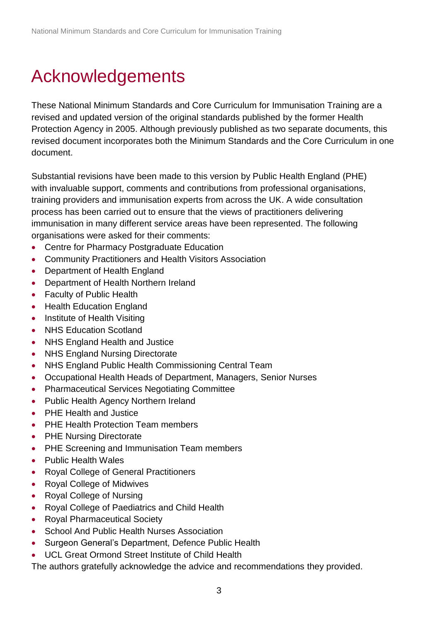# <span id="page-2-0"></span>Acknowledgements

These National Minimum Standards and Core Curriculum for Immunisation Training are a revised and updated version of the original standards published by the former Health Protection Agency in 2005. Although previously published as two separate documents, this revised document incorporates both the Minimum Standards and the Core Curriculum in one document.

Substantial revisions have been made to this version by Public Health England (PHE) with invaluable support, comments and contributions from professional organisations, training providers and immunisation experts from across the UK. A wide consultation process has been carried out to ensure that the views of practitioners delivering immunisation in many different service areas have been represented. The following organisations were asked for their comments:

- Centre for Pharmacy Postgraduate Education
- Community Practitioners and Health Visitors Association
- Department of Health England
- Department of Health Northern Ireland
- Faculty of Public Health
- Health Education England
- Institute of Health Visiting
- NHS Education Scotland
- NHS England Health and Justice
- NHS England Nursing Directorate
- NHS England Public Health Commissioning Central Team
- Occupational Health Heads of Department, Managers, Senior Nurses
- Pharmaceutical Services Negotiating Committee
- Public Health Agency Northern Ireland
- PHF Health and Justice
- PHE Health Protection Team members
- PHE Nursing Directorate
- PHE Screening and Immunisation Team members
- Public Health Wales
- Royal College of General Practitioners
- Royal College of Midwives
- Royal College of Nursing
- Royal College of Paediatrics and Child Health
- Royal Pharmaceutical Society
- [School And Public Health Nurses Association](https://www.google.co.uk/url?sa=t&rct=j&q=&esrc=s&source=web&cd=1&cad=rja&uact=8&ved=0ahUKEwiV3dTy0LjUAhXDBsAKHf7jAvMQFggtMAA&url=http%3A%2F%2Fwww.saphna.co%2F&usg=AFQjCNEr-K4uY0RWy1Ep9Zl-CN7mnXAHCQ)
- Surgeon General's Department, Defence Public Health
- UCL Great Ormond Street Institute of Child Health

The authors gratefully acknowledge the advice and recommendations they provided.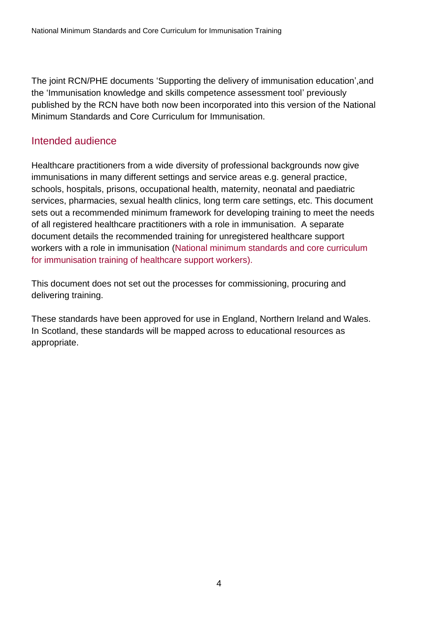The joint RCN/PHE documents 'Supporting the delivery of immunisation education',and the 'Immunisation knowledge and skills competence assessment tool' previously published by the RCN have both now been incorporated into this version of the National Minimum Standards and Core Curriculum for Immunisation.

#### <span id="page-3-0"></span>Intended audience

Healthcare practitioners from a wide diversity of professional backgrounds now give immunisations in many different settings and service areas e.g. general practice, schools, hospitals, prisons, occupational health, maternity, neonatal and paediatric services, pharmacies, sexual health clinics, long term care settings, etc. This document sets out a recommended minimum framework for developing training to meet the needs of all registered healthcare practitioners with a role in immunisation. A separate document details the recommended training for unregistered healthcare support workers with a role in immunisation [\(National minimum standards and core curriculum](https://www.gov.uk/government/publications/immunisation-training-of-healthcare-support-workers-national-minimum-standards-and-core-curriculum)  [for immunisation training of healthcare support workers\).](https://www.gov.uk/government/publications/immunisation-training-of-healthcare-support-workers-national-minimum-standards-and-core-curriculum)

This document does not set out the processes for commissioning, procuring and delivering training.

These standards have been approved for use in England, Northern Ireland and Wales. In Scotland, these standards will be mapped across to educational resources as appropriate.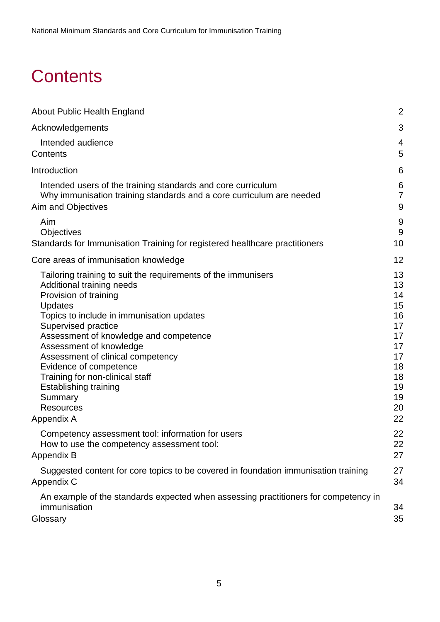# <span id="page-4-0"></span>**Contents**

| About Public Health England                                                                                     | $\overline{2}$ |
|-----------------------------------------------------------------------------------------------------------------|----------------|
| Acknowledgements                                                                                                | 3              |
| Intended audience                                                                                               | 4              |
| Contents                                                                                                        | 5              |
| Introduction                                                                                                    | 6              |
| Intended users of the training standards and core curriculum                                                    | 6              |
| Why immunisation training standards and a core curriculum are needed                                            | $\overline{7}$ |
| Aim and Objectives                                                                                              | 9              |
| Aim                                                                                                             | 9              |
| <b>Objectives</b>                                                                                               | 9              |
| Standards for Immunisation Training for registered healthcare practitioners                                     | 10             |
| Core areas of immunisation knowledge                                                                            | 12             |
| Tailoring training to suit the requirements of the immunisers                                                   | 13             |
| Additional training needs                                                                                       | 13             |
| Provision of training                                                                                           | 14             |
| <b>Updates</b>                                                                                                  | 15             |
| Topics to include in immunisation updates                                                                       | 16             |
| Supervised practice                                                                                             | 17             |
| Assessment of knowledge and competence                                                                          | 17             |
| Assessment of knowledge                                                                                         | 17             |
| Assessment of clinical competency                                                                               | 17             |
| Evidence of competence                                                                                          | 18             |
| Training for non-clinical staff                                                                                 | 18             |
| Establishing training                                                                                           | 19             |
| Summary                                                                                                         | 19             |
| <b>Resources</b>                                                                                                | 20             |
| Appendix A                                                                                                      | 22             |
| Competency assessment tool: information for users                                                               | 22             |
| How to use the competency assessment tool:                                                                      | 22             |
| Appendix B                                                                                                      | 27             |
| Suggested content for core topics to be covered in foundation immunisation training                             | 27             |
| Appendix C                                                                                                      | 34             |
| An example of the standards expected when assessing practitioners for competency in<br>immunisation<br>Glossary | 34<br>35       |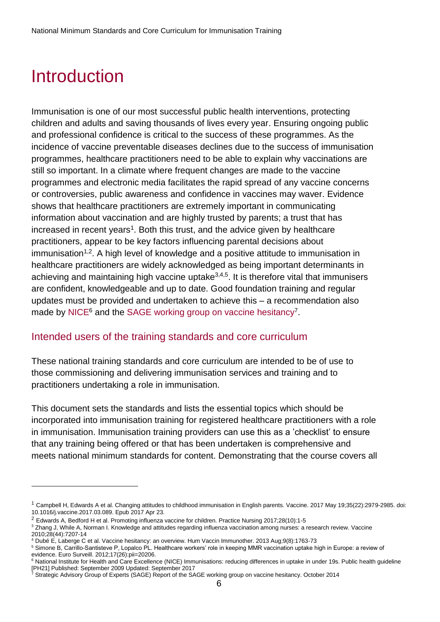## <span id="page-5-0"></span>Introduction

l

Immunisation is one of our most successful public health interventions, protecting children and adults and saving thousands of lives every year. Ensuring ongoing public and professional confidence is critical to the success of these programmes. As the incidence of vaccine preventable diseases declines due to the success of immunisation programmes, healthcare practitioners need to be able to explain why vaccinations are still so important. In a climate where frequent changes are made to the vaccine programmes and electronic media facilitates the rapid spread of any vaccine concerns or controversies, public awareness and confidence in vaccines may waver. Evidence shows that healthcare practitioners are extremely important in communicating information about vaccination and are highly trusted by parents; a trust that has increased in recent years<sup>1</sup>. Both this trust, and the advice given by healthcare practitioners, appear to be key factors influencing parental decisions about  $immunisation<sup>1,2</sup>$ . A high level of knowledge and a positive attitude to immunisation in healthcare practitioners are widely acknowledged as being important determinants in achieving and maintaining high vaccine uptake<sup>3,4,5</sup>. It is therefore vital that immunisers are confident, knowledgeable and up to date. Good foundation training and regular updates must be provided and undertaken to achieve this – a recommendation also made by [NICE](https://www.nice.org.uk/guidance/PH21/chapter/1-Recommendations#/recommendation-3-training)<sup>6</sup> and the [SAGE working group on vaccine hesitancy](http://www.who.int/immunization/sage/meetings/2014/october/1_Report_WORKING_GROUP_vaccine_hesitancy_final.pdf)<sup>7</sup>.

#### <span id="page-5-1"></span>Intended users of the training standards and core curriculum

These national training standards and core curriculum are intended to be of use to those commissioning and delivering immunisation services and training and to practitioners undertaking a role in immunisation.

This document sets the standards and lists the essential topics which should be incorporated into immunisation training for registered healthcare practitioners with a role in immunisation. Immunisation training providers can use this as a 'checklist' to ensure that any training being offered or that has been undertaken is comprehensive and meets national minimum standards for content. Demonstrating that the course covers all

<sup>1</sup> Campbell H, Edwards A et al. Changing attitudes to childhood immunisation in English parents. Vaccine. 2017 May 19;35(22):2979-2985. doi: 10.1016/j.vaccine.2017.03.089. Epub 2017 Apr 23.

<sup>2</sup> Edwards A, Bedford H et al. Promoting influenza vaccine for children. Practice Nursing 2017;28(10):1-5

<sup>3</sup> Zhang J, While A, Norman I. Knowledge and attitudes regarding influenza vaccination among nurses: a research review. Vaccine 2010;28(44):7207-14

<sup>4</sup> Dubé E, Laberge C et al. Vaccine hesitancy: an overview. Hum Vaccin Immunother. 2013 Aug;9(8):1763-73

<sup>&</sup>lt;sup>5</sup> Simone B, Carrillo-Santisteve P, Lopalco PL. Healthcare workers' role in keeping MMR vaccination uptake high in Europe: a review of evidence. Euro Surveill. 2012;17(26):pii=20206.

<sup>&</sup>lt;sup>6</sup> National Institute for Health and Care Excellence (NICE) Immunisations: reducing differences in uptake in under 19s. Public health guideline [PH21] Published: September 2009 Updated: September 2017

<sup>&</sup>lt;sup>7</sup> Strategic Advisory Group of Experts (SAGE) Report of the SAGE working group on vaccine hesitancy. October 2014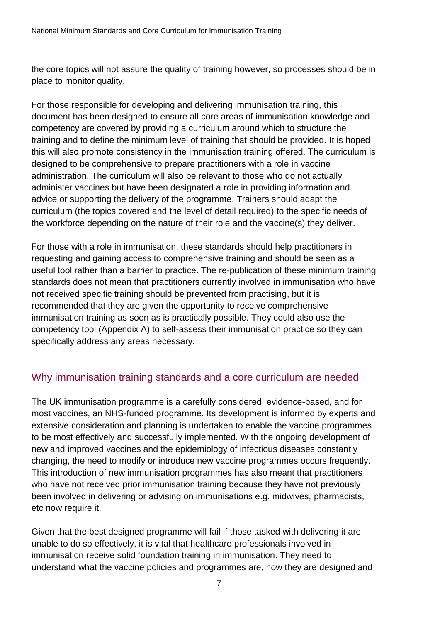the core topics will not assure the quality of training however, so processes should be in place to monitor quality.

For those responsible for developing and delivering immunisation training, this document has been designed to ensure all core areas of immunisation knowledge and competency are covered by providing a curriculum around which to structure the training and to define the minimum level of training that should be provided. It is hoped this will also promote consistency in the immunisation training offered. The curriculum is designed to be comprehensive to prepare practitioners with a role in vaccine administration. The curriculum will also be relevant to those who do not actually administer vaccines but have been designated a role in providing information and advice or supporting the delivery of the programme. Trainers should adapt the curriculum (the topics covered and the level of detail required) to the specific needs of the workforce depending on the nature of their role and the vaccine(s) they deliver.

For those with a role in immunisation, these standards should help practitioners in requesting and gaining access to comprehensive training and should be seen as a useful tool rather than a barrier to practice. The re-publication of these minimum training standards does not mean that practitioners currently involved in immunisation who have not received specific training should be prevented from practising, but it is recommended that they are given the opportunity to receive comprehensive immunisation training as soon as is practically possible. They could also use the competency tool (Appendix A) to self-assess their immunisation practice so they can specifically address any areas necessary.

### <span id="page-6-0"></span>Why immunisation training standards and a core curriculum are needed

The UK immunisation programme is a carefully considered, evidence-based, and for most vaccines, an NHS-funded programme. Its development is informed by experts and extensive consideration and planning is undertaken to enable the vaccine programmes to be most effectively and successfully implemented. With the ongoing development of new and improved vaccines and the epidemiology of infectious diseases constantly changing, the need to modify or introduce new vaccine programmes occurs frequently. This introduction of new immunisation programmes has also meant that practitioners who have not received prior immunisation training because they have not previously been involved in delivering or advising on immunisations e.g. midwives, pharmacists, etc now require it.

Given that the best designed programme will fail if those tasked with delivering it are unable to do so effectively, it is vital that healthcare professionals involved in immunisation receive solid foundation training in immunisation. They need to understand what the vaccine policies and programmes are, how they are designed and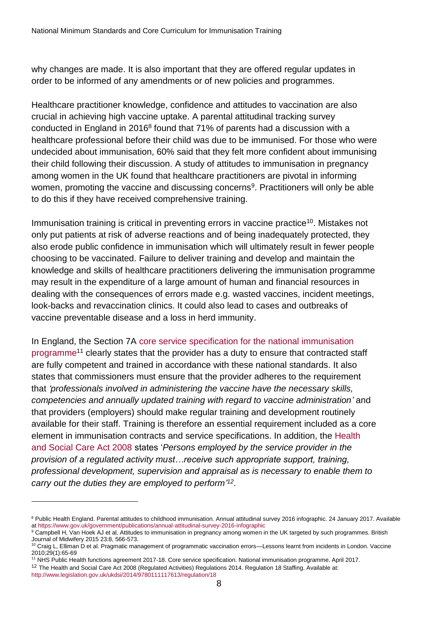why changes are made. It is also important that they are offered regular updates in order to be informed of any amendments or of new policies and programmes.

Healthcare practitioner knowledge, confidence and attitudes to vaccination are also crucial in achieving high vaccine uptake. A parental attitudinal tracking survey conducted in England in 2016<sup>8</sup> found that 71% of parents had a discussion with a healthcare professional before their child was due to be immunised. For those who were undecided about immunisation, 60% said that they felt more confident about immunising their child following their discussion. A study of attitudes to immunisation in pregnancy among women in the UK found that healthcare practitioners are pivotal in informing women, promoting the vaccine and discussing concerns<sup>9</sup>. Practitioners will only be able to do this if they have received comprehensive training.

Immunisation training is critical in preventing errors in vaccine practice<sup>10</sup>. Mistakes not only put patients at risk of adverse reactions and of being inadequately protected, they also erode public confidence in immunisation which will ultimately result in fewer people choosing to be vaccinated. Failure to deliver training and develop and maintain the knowledge and skills of healthcare practitioners delivering the immunisation programme may result in the expenditure of a large amount of human and financial resources in dealing with the consequences of errors made e.g. wasted vaccines, incident meetings, look-backs and revaccination clinics. It could also lead to cases and outbreaks of vaccine preventable disease and a loss in herd immunity.

In England, the Section 7A [core service specification for the national immunisation](https://www.england.nhs.uk/wp-content/uploads/2017/04/service-spec-00.pdf)  [programme](https://www.england.nhs.uk/wp-content/uploads/2017/04/service-spec-00.pdf)<sup>11</sup> clearly states that the provider has a duty to ensure that contracted staff are fully competent and trained in accordance with these national standards. It also states that commissioners must ensure that the provider adheres to the requirement that *'professionals involved in administering the vaccine have the necessary skills, competencies and annually updated training with regard to vaccine administration'* and that providers (employers) should make regular training and development routinely available for their staff. Training is therefore an essential requirement included as a core element in immunisation contracts and service specifications. In addition, the [Health](http://www.legislation.gov.uk/ukdsi/2014/9780111117613/contents)  [and Social Care Act 2008](http://www.legislation.gov.uk/ukdsi/2014/9780111117613/contents) states '*Persons employed by the service provider in the provision of a regulated activity must…receive such appropriate support, training, professional development, supervision and appraisal as is necessary to enable them to carry out the duties they are employed to perform' 12* .

<sup>11</sup> NHS Public Health functions agreement 2017-18. Core service specification. National immunisation programme. April 2017. <sup>12</sup> The Health and Social Care Act 2008 (Regulated Activities) Regulations 2014. Regulation 18 Staffing. Available at:

 $\overline{a}$ 

<sup>&</sup>lt;sup>8</sup> Public Health England. Parental attitudes to childhood immunisation. Annual attitudinal survey 2016 infographic. 24 January 2017. Available a[t https://www.gov.uk/government/publications/annual-attitudinal-survey-2016-infographic](https://www.gov.uk/government/publications/annual-attitudinal-survey-2016-infographic)

<sup>9</sup> Campbell H, Van Hoek AJ et al. Attitudes to immunisation in pregnancy among women in the UK targeted by such programmes. British Journal of Midwifery 2015 23:8, 566-573.

<sup>10</sup> Craig L, Elliman D et al. Pragmatic management of programmatic vaccination errors—Lessons learnt from incidents in London. Vaccine 2010;29(1):65-69

<http://www.legislation.gov.uk/ukdsi/2014/9780111117613/regulation/18>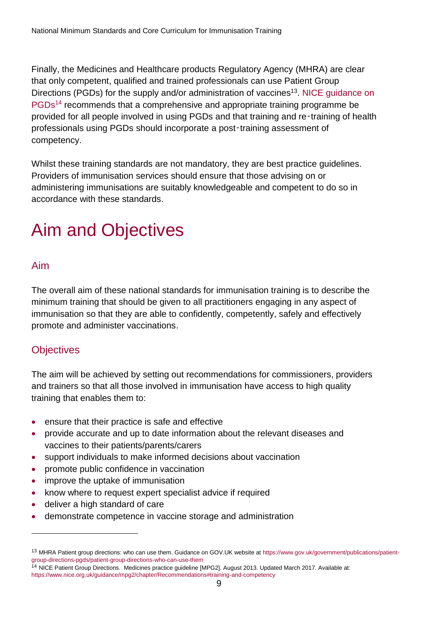Finally, the Medicines and Healthcare products Regulatory Agency (MHRA) are clear that only competent, qualified and trained professionals can use Patient Group Directions (PGDs) for the supply and/or administration of vaccines<sup>13</sup>. NICE guidance on [PGDs](https://www.nice.org.uk/guidance/mpg2/chapter/2-Recommendations#/training-and-competency)<sup>14</sup> recommends that a comprehensive and appropriate training programme be provided for all people involved in using PGDs and that training and re‑training of health professionals using PGDs should incorporate a post-training assessment of competency.

Whilst these training standards are not mandatory, they are best practice guidelines. Providers of immunisation services should ensure that those advising on or administering immunisations are suitably knowledgeable and competent to do so in accordance with these standards.

# <span id="page-8-0"></span>Aim and Objectives

#### <span id="page-8-1"></span>Aim

The overall aim of these national standards for immunisation training is to describe the minimum training that should be given to all practitioners engaging in any aspect of immunisation so that they are able to confidently, competently, safely and effectively promote and administer vaccinations.

### <span id="page-8-2"></span>**Objectives**

l

The aim will be achieved by setting out recommendations for commissioners, providers and trainers so that all those involved in immunisation have access to high quality training that enables them to:

- ensure that their practice is safe and effective
- provide accurate and up to date information about the relevant diseases and vaccines to their patients/parents/carers
- support individuals to make informed decisions about vaccination
- promote public confidence in vaccination
- improve the uptake of immunisation
- know where to request expert specialist advice if required
- deliver a high standard of care
- demonstrate competence in vaccine storage and administration

<sup>13</sup> MHRA Patient group directions: who can use them. Guidance on GOV.UK website a[t https://www.gov.uk/government/publications/patient](https://www.gov.uk/government/publications/patient-group-directions-pgds/patient-group-directions-who-can-use-them)[group-directions-pgds/patient-group-directions-who-can-use-them](https://www.gov.uk/government/publications/patient-group-directions-pgds/patient-group-directions-who-can-use-them)

<sup>14</sup> NICE Patient Group Directions. Medicines practice guideline [MPG2]. August 2013. Updated March 2017. Available at: <https://www.nice.org.uk/guidance/mpg2/chapter/Recommendations#training-and-competency>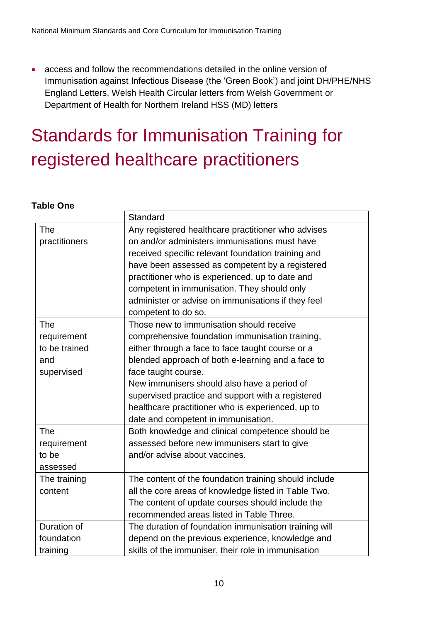access and follow the recommendations detailed in the online version of Immunisation against Infectious Disease (the 'Green Book') and joint DH/PHE/NHS England Letters, Welsh Health Circular letters from Welsh Government or Department of Health for Northern Ireland HSS (MD) letters

# <span id="page-9-0"></span>Standards for Immunisation Training for registered healthcare practitioners

#### **Table One**

|               | Standard                                              |
|---------------|-------------------------------------------------------|
| <b>The</b>    | Any registered healthcare practitioner who advises    |
| practitioners | on and/or administers immunisations must have         |
|               | received specific relevant foundation training and    |
|               | have been assessed as competent by a registered       |
|               | practitioner who is experienced, up to date and       |
|               | competent in immunisation. They should only           |
|               | administer or advise on immunisations if they feel    |
|               | competent to do so.                                   |
| The           | Those new to immunisation should receive              |
| requirement   | comprehensive foundation immunisation training,       |
| to be trained | either through a face to face taught course or a      |
| and           | blended approach of both e-learning and a face to     |
| supervised    | face taught course.                                   |
|               | New immunisers should also have a period of           |
|               | supervised practice and support with a registered     |
|               | healthcare practitioner who is experienced, up to     |
|               | date and competent in immunisation.                   |
| <b>The</b>    | Both knowledge and clinical competence should be      |
| requirement   | assessed before new immunisers start to give          |
| to be         | and/or advise about vaccines.                         |
| assessed      |                                                       |
| The training  | The content of the foundation training should include |
| content       | all the core areas of knowledge listed in Table Two.  |
|               | The content of update courses should include the      |
|               | recommended areas listed in Table Three.              |
| Duration of   | The duration of foundation immunisation training will |
| foundation    | depend on the previous experience, knowledge and      |
| training      | skills of the immuniser, their role in immunisation   |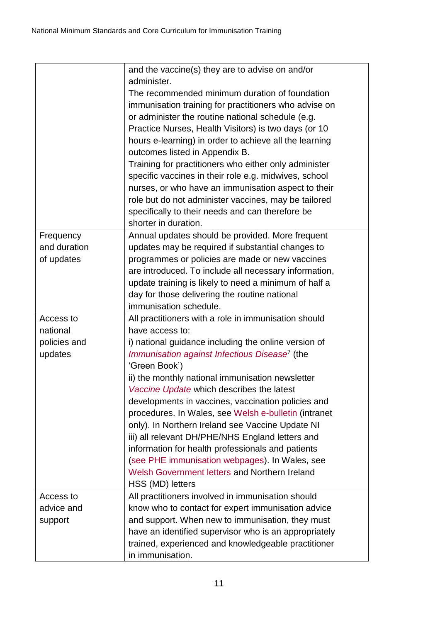|              | and the vaccine(s) they are to advise on and/or               |
|--------------|---------------------------------------------------------------|
|              | administer.<br>The recommended minimum duration of foundation |
|              |                                                               |
|              | immunisation training for practitioners who advise on         |
|              | or administer the routine national schedule (e.g.             |
|              | Practice Nurses, Health Visitors) is two days (or 10          |
|              | hours e-learning) in order to achieve all the learning        |
|              | outcomes listed in Appendix B.                                |
|              | Training for practitioners who either only administer         |
|              | specific vaccines in their role e.g. midwives, school         |
|              | nurses, or who have an immunisation aspect to their           |
|              | role but do not administer vaccines, may be tailored          |
|              | specifically to their needs and can therefore be              |
|              | shorter in duration.                                          |
| Frequency    | Annual updates should be provided. More frequent              |
| and duration | updates may be required if substantial changes to             |
| of updates   | programmes or policies are made or new vaccines               |
|              | are introduced. To include all necessary information,         |
|              | update training is likely to need a minimum of half a         |
|              | day for those delivering the routine national                 |
|              | immunisation schedule.                                        |
| Access to    | All practitioners with a role in immunisation should          |
| national     | have access to:                                               |
| policies and | i) national guidance including the online version of          |
| updates      | Immunisation against Infectious Disease <sup>7</sup> (the     |
|              | 'Green Book')                                                 |
|              | ii) the monthly national immunisation newsletter              |
|              | Vaccine Update which describes the latest                     |
|              | developments in vaccines, vaccination policies and            |
|              | procedures. In Wales, see Welsh e-bulletin (intranet          |
|              | only). In Northern Ireland see Vaccine Update NI              |
|              | iii) all relevant DH/PHE/NHS England letters and              |
|              | information for health professionals and patients             |
|              | (see PHE immunisation webpages). In Wales, see                |
|              | Welsh Government letters and Northern Ireland                 |
|              | HSS (MD) letters                                              |
| Access to    | All practitioners involved in immunisation should             |
| advice and   | know who to contact for expert immunisation advice            |
| support      | and support. When new to immunisation, they must              |
|              | have an identified supervisor who is an appropriately         |
|              | trained, experienced and knowledgeable practitioner           |
|              | in immunisation.                                              |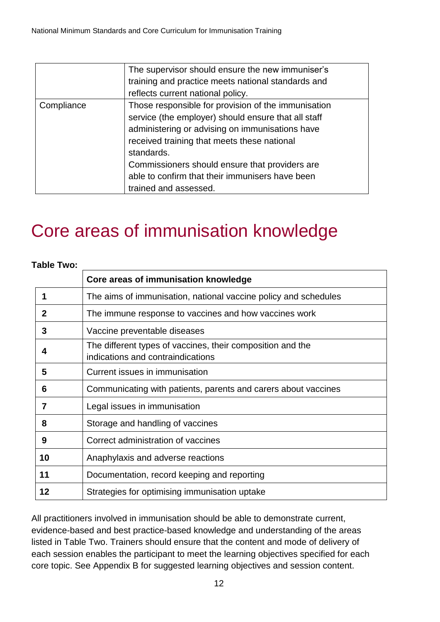|            | The supervisor should ensure the new immuniser's<br>training and practice meets national standards and<br>reflects current national policy.                                                                                                                                                                                                              |
|------------|----------------------------------------------------------------------------------------------------------------------------------------------------------------------------------------------------------------------------------------------------------------------------------------------------------------------------------------------------------|
| Compliance | Those responsible for provision of the immunisation<br>service (the employer) should ensure that all staff<br>administering or advising on immunisations have<br>received training that meets these national<br>standards.<br>Commissioners should ensure that providers are<br>able to confirm that their immunisers have been<br>trained and assessed. |

## <span id="page-11-0"></span>Core areas of immunisation knowledge

#### **Table Two:**

|    | Core areas of immunisation knowledge                                                            |  |  |  |  |
|----|-------------------------------------------------------------------------------------------------|--|--|--|--|
|    | The aims of immunisation, national vaccine policy and schedules                                 |  |  |  |  |
| 2  | The immune response to vaccines and how vaccines work                                           |  |  |  |  |
| 3  | Vaccine preventable diseases                                                                    |  |  |  |  |
|    | The different types of vaccines, their composition and the<br>indications and contraindications |  |  |  |  |
| 5  | Current issues in immunisation                                                                  |  |  |  |  |
| 6  | Communicating with patients, parents and carers about vaccines                                  |  |  |  |  |
| 7  | Legal issues in immunisation                                                                    |  |  |  |  |
| 8  | Storage and handling of vaccines                                                                |  |  |  |  |
| 9  | Correct administration of vaccines                                                              |  |  |  |  |
| 10 | Anaphylaxis and adverse reactions                                                               |  |  |  |  |
| 11 | Documentation, record keeping and reporting                                                     |  |  |  |  |
| 12 | Strategies for optimising immunisation uptake                                                   |  |  |  |  |

All practitioners involved in immunisation should be able to demonstrate current, evidence-based and best practice-based knowledge and understanding of the areas listed in Table Two. Trainers should ensure that the content and mode of delivery of each session enables the participant to meet the learning objectives specified for each core topic. See Appendix B for suggested learning objectives and session content.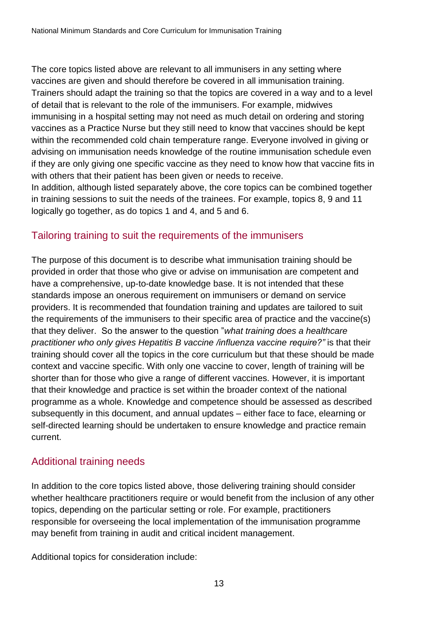The core topics listed above are relevant to all immunisers in any setting where vaccines are given and should therefore be covered in all immunisation training. Trainers should adapt the training so that the topics are covered in a way and to a level of detail that is relevant to the role of the immunisers. For example, midwives immunising in a hospital setting may not need as much detail on ordering and storing vaccines as a Practice Nurse but they still need to know that vaccines should be kept within the recommended cold chain temperature range. Everyone involved in giving or advising on immunisation needs knowledge of the routine immunisation schedule even if they are only giving one specific vaccine as they need to know how that vaccine fits in with others that their patient has been given or needs to receive.

In addition, although listed separately above, the core topics can be combined together in training sessions to suit the needs of the trainees. For example, topics 8, 9 and 11 logically go together, as do topics 1 and 4, and 5 and 6.

### <span id="page-12-0"></span>Tailoring training to suit the requirements of the immunisers

The purpose of this document is to describe what immunisation training should be provided in order that those who give or advise on immunisation are competent and have a comprehensive, up-to-date knowledge base. It is not intended that these standards impose an onerous requirement on immunisers or demand on service providers. It is recommended that foundation training and updates are tailored to suit the requirements of the immunisers to their specific area of practice and the vaccine(s) that they deliver. So the answer to the question "*what training does a healthcare practitioner who only gives Hepatitis B vaccine /influenza vaccine require?"* is that their training should cover all the topics in the core curriculum but that these should be made context and vaccine specific. With only one vaccine to cover, length of training will be shorter than for those who give a range of different vaccines. However, it is important that their knowledge and practice is set within the broader context of the national programme as a whole. Knowledge and competence should be assessed as described subsequently in this document, and annual updates – either face to face, elearning or self-directed learning should be undertaken to ensure knowledge and practice remain current.

#### <span id="page-12-1"></span>Additional training needs

In addition to the core topics listed above, those delivering training should consider whether healthcare practitioners require or would benefit from the inclusion of any other topics, depending on the particular setting or role. For example, practitioners responsible for overseeing the local implementation of the immunisation programme may benefit from training in audit and critical incident management.

Additional topics for consideration include: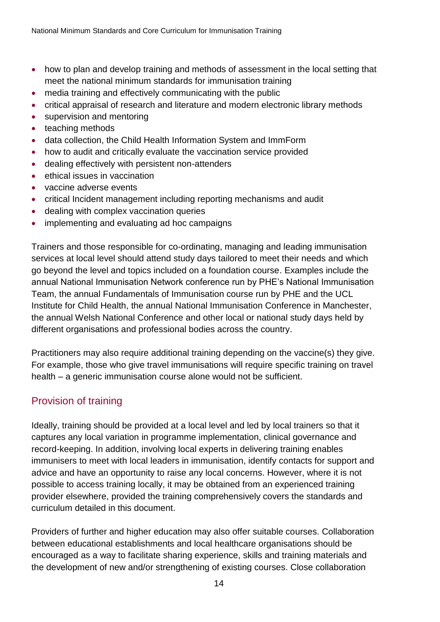- how to plan and develop training and methods of assessment in the local setting that meet the national minimum standards for immunisation training
- media training and effectively communicating with the public
- critical appraisal of research and literature and modern electronic library methods
- supervision and mentoring
- teaching methods
- data collection, the Child Health Information System and ImmForm
- how to audit and critically evaluate the vaccination service provided
- dealing effectively with persistent non-attenders
- **•** ethical issues in vaccination
- vaccine adverse events
- critical Incident management including reporting mechanisms and audit
- dealing with complex vaccination queries
- implementing and evaluating ad hoc campaigns

Trainers and those responsible for co-ordinating, managing and leading immunisation services at local level should attend study days tailored to meet their needs and which go beyond the level and topics included on a foundation course. Examples include the annual National Immunisation Network conference run by PHE's National Immunisation Team, the annual Fundamentals of Immunisation course run by PHE and the UCL Institute for Child Health, the annual National Immunisation Conference in Manchester, the annual Welsh National Conference and other local or national study days held by different organisations and professional bodies across the country.

Practitioners may also require additional training depending on the vaccine(s) they give. For example, those who give travel immunisations will require specific training on travel health – a generic immunisation course alone would not be sufficient.

### <span id="page-13-0"></span>Provision of training

Ideally, training should be provided at a local level and led by local trainers so that it captures any local variation in programme implementation, clinical governance and record-keeping. In addition, involving local experts in delivering training enables immunisers to meet with local leaders in immunisation, identify contacts for support and advice and have an opportunity to raise any local concerns. However, where it is not possible to access training locally, it may be obtained from an experienced training provider elsewhere, provided the training comprehensively covers the standards and curriculum detailed in this document.

Providers of further and higher education may also offer suitable courses. Collaboration between educational establishments and local healthcare organisations should be encouraged as a way to facilitate sharing experience, skills and training materials and the development of new and/or strengthening of existing courses. Close collaboration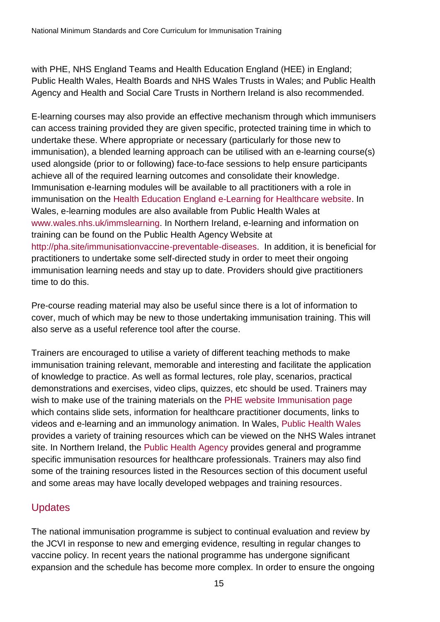with PHE, NHS England Teams and Health Education England (HEE) in England; Public Health Wales, Health Boards and NHS Wales Trusts in Wales; and Public Health Agency and Health and Social Care Trusts in Northern Ireland is also recommended.

E-learning courses may also provide an effective mechanism through which immunisers can access training provided they are given specific, protected training time in which to undertake these. Where appropriate or necessary (particularly for those new to immunisation), a blended learning approach can be utilised with an e-learning course(s) used alongside (prior to or following) face-to-face sessions to help ensure participants achieve all of the required learning outcomes and consolidate their knowledge. Immunisation e-learning modules will be available to all practitioners with a role in immunisation on the [Health Education England e-Learning for Healthcare website.](https://www.e-lfh.org.uk/) In Wales, e-learning modules are also available from Public Health Wales at [www.wales.nhs.uk/immslearning.](http://www.wales.nhs.uk/immslearning) In Northern Ireland, e-learning and information on training can be found on the Public Health Agency Website at [http://pha.site/immunisationvaccine-preventable-diseases.](http://pha.site/immunisationvaccine-preventable-diseases) In addition, it is beneficial for practitioners to undertake some self-directed study in order to meet their ongoing immunisation learning needs and stay up to date. Providers should give practitioners time to do this.

Pre-course reading material may also be useful since there is a lot of information to cover, much of which may be new to those undertaking immunisation training. This will also serve as a useful reference tool after the course.

Trainers are encouraged to utilise a variety of different teaching methods to make immunisation training relevant, memorable and interesting and facilitate the application of knowledge to practice. As well as formal lectures, role play, scenarios, practical demonstrations and exercises, video clips, quizzes, etc should be used. Trainers may wish to make use of the training materials on the [PHE website Immunisation page](https://www.gov.uk/government/collections/immunisation) which contains slide sets, information for healthcare practitioner documents, links to videos and e-learning and an immunology animation. In Wales, [Public Health Wales](http://www.wales.nhs.uk/sitesplus/888/page/43510) provides a variety of training resources which can be viewed on the NHS Wales intranet site. In Northern Ireland, the [Public Health Agency](http://pha.site/immunisationvaccine-preventable-diseases) provides general and programme specific immunisation resources for healthcare professionals. Trainers may also find some of the training resources listed in the Resources section of this document useful and some areas may have locally developed webpages and training resources.

## <span id="page-14-0"></span>**Updates**

The national immunisation programme is subject to continual evaluation and review by the JCVI in response to new and emerging evidence, resulting in regular changes to vaccine policy. In recent years the national programme has undergone significant expansion and the schedule has become more complex. In order to ensure the ongoing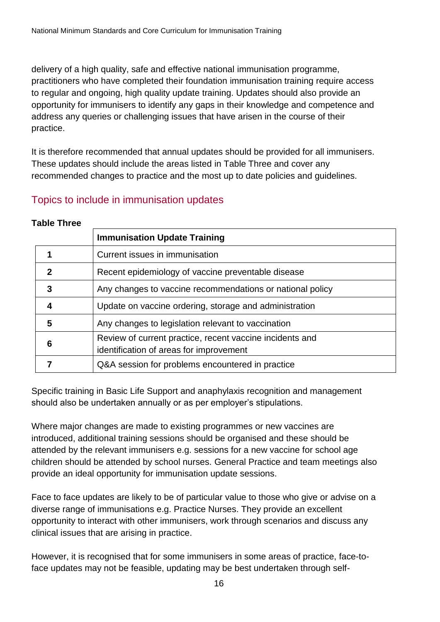delivery of a high quality, safe and effective national immunisation programme, practitioners who have completed their foundation immunisation training require access to regular and ongoing, high quality update training. Updates should also provide an opportunity for immunisers to identify any gaps in their knowledge and competence and address any queries or challenging issues that have arisen in the course of their practice.

It is therefore recommended that annual updates should be provided for all immunisers. These updates should include the areas listed in Table Three and cover any recommended changes to practice and the most up to date policies and guidelines.

#### <span id="page-15-0"></span>Topics to include in immunisation updates

| 1 AVIC 1111 <del>CC</del>                                   |                                                                                                     |  |  |  |
|-------------------------------------------------------------|-----------------------------------------------------------------------------------------------------|--|--|--|
|                                                             | <b>Immunisation Update Training</b>                                                                 |  |  |  |
|                                                             | Current issues in immunisation                                                                      |  |  |  |
| $\mathbf{c}$                                                | Recent epidemiology of vaccine preventable disease                                                  |  |  |  |
| 3                                                           | Any changes to vaccine recommendations or national policy                                           |  |  |  |
| Update on vaccine ordering, storage and administration<br>4 |                                                                                                     |  |  |  |
| 5                                                           | Any changes to legislation relevant to vaccination                                                  |  |  |  |
| 6                                                           | Review of current practice, recent vaccine incidents and<br>identification of areas for improvement |  |  |  |
|                                                             | Q&A session for problems encountered in practice                                                    |  |  |  |

#### **Table Three**

Specific training in Basic Life Support and anaphylaxis recognition and management should also be undertaken annually or as per employer's stipulations.

Where major changes are made to existing programmes or new vaccines are introduced, additional training sessions should be organised and these should be attended by the relevant immunisers e.g. sessions for a new vaccine for school age children should be attended by school nurses. General Practice and team meetings also provide an ideal opportunity for immunisation update sessions.

Face to face updates are likely to be of particular value to those who give or advise on a diverse range of immunisations e.g. Practice Nurses. They provide an excellent opportunity to interact with other immunisers, work through scenarios and discuss any clinical issues that are arising in practice.

However, it is recognised that for some immunisers in some areas of practice, face-toface updates may not be feasible, updating may be best undertaken through self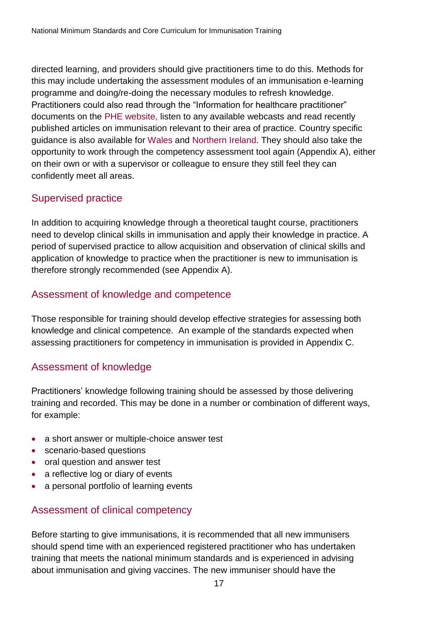directed learning, and providers should give practitioners time to do this. Methods for this may include undertaking the assessment modules of an immunisation e-learning programme and doing/re-doing the necessary modules to refresh knowledge. Practitioners could also read through the "Information for healthcare practitioner" documents on the [PHE website,](https://www.gov.uk/government/collections/immunisation) listen to any available webcasts and read recently published articles on immunisation relevant to their area of practice. Country specific guidance is also available for [Wales](http://nww.immunisation.wales.nhs.uk/resources-for-trainers) and [Northern Ireland.](http://pha.site/immunisationvaccine-preventable-diseases) They should also take the opportunity to work through the competency assessment tool again (Appendix A), either on their own or with a supervisor or colleague to ensure they still feel they can confidently meet all areas.

#### <span id="page-16-0"></span>Supervised practice

In addition to acquiring knowledge through a theoretical taught course, practitioners need to develop clinical skills in immunisation and apply their knowledge in practice. A period of supervised practice to allow acquisition and observation of clinical skills and application of knowledge to practice when the practitioner is new to immunisation is therefore strongly recommended (see Appendix A).

#### <span id="page-16-1"></span>Assessment of knowledge and competence

Those responsible for training should develop effective strategies for assessing both knowledge and clinical competence. An example of the standards expected when assessing practitioners for competency in immunisation is provided in Appendix C.

#### <span id="page-16-2"></span>Assessment of knowledge

Practitioners' knowledge following training should be assessed by those delivering training and recorded. This may be done in a number or combination of different ways, for example:

- a short answer or multiple-choice answer test
- scenario-based questions
- oral question and answer test
- a reflective log or diary of events
- a personal portfolio of learning events

### <span id="page-16-3"></span>Assessment of clinical competency

Before starting to give immunisations, it is recommended that all new immunisers should spend time with an experienced registered practitioner who has undertaken training that meets the national minimum standards and is experienced in advising about immunisation and giving vaccines. The new immuniser should have the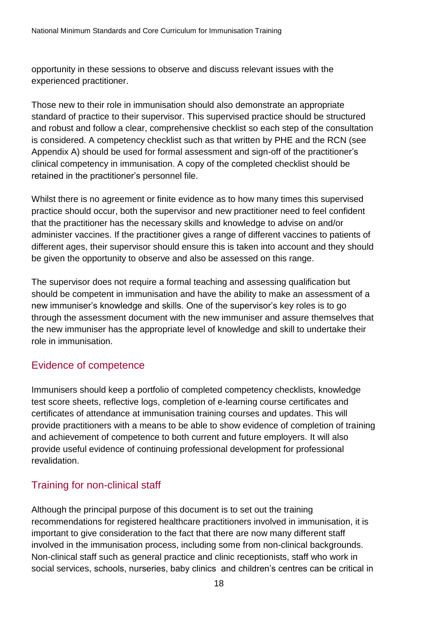opportunity in these sessions to observe and discuss relevant issues with the experienced practitioner.

Those new to their role in immunisation should also demonstrate an appropriate standard of practice to their supervisor. This supervised practice should be structured and robust and follow a clear, comprehensive checklist so each step of the consultation is considered. A competency checklist such as that written by PHE and the RCN (see Appendix A) should be used for formal assessment and sign-off of the practitioner's clinical competency in immunisation. A copy of the completed checklist should be retained in the practitioner's personnel file.

Whilst there is no agreement or finite evidence as to how many times this supervised practice should occur, both the supervisor and new practitioner need to feel confident that the practitioner has the necessary skills and knowledge to advise on and/or administer vaccines. If the practitioner gives a range of different vaccines to patients of different ages, their supervisor should ensure this is taken into account and they should be given the opportunity to observe and also be assessed on this range.

The supervisor does not require a formal teaching and assessing qualification but should be competent in immunisation and have the ability to make an assessment of a new immuniser's knowledge and skills. One of the supervisor's key roles is to go through the assessment document with the new immuniser and assure themselves that the new immuniser has the appropriate level of knowledge and skill to undertake their role in immunisation.

#### <span id="page-17-0"></span>Evidence of competence

Immunisers should keep a portfolio of completed competency checklists, knowledge test score sheets, reflective logs, completion of e-learning course certificates and certificates of attendance at immunisation training courses and updates. This will provide practitioners with a means to be able to show evidence of completion of training and achievement of competence to both current and future employers. It will also provide useful evidence of continuing professional development for professional revalidation.

### <span id="page-17-1"></span>Training for non-clinical staff

Although the principal purpose of this document is to set out the training recommendations for registered healthcare practitioners involved in immunisation, it is important to give consideration to the fact that there are now many different staff involved in the immunisation process, including some from non-clinical backgrounds. Non-clinical staff such as general practice and clinic receptionists, staff who work in social services, schools, nurseries, baby clinics and children's centres can be critical in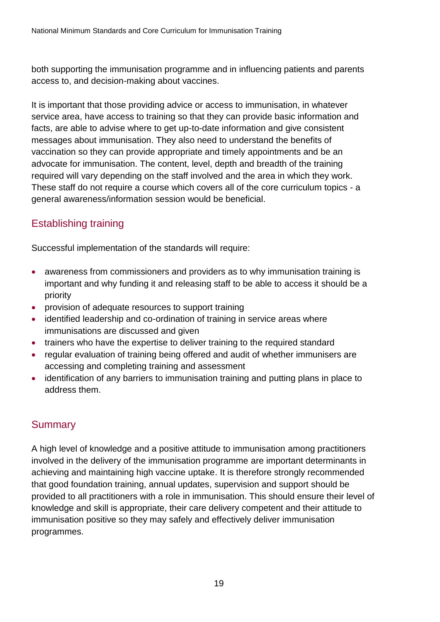both supporting the immunisation programme and in influencing patients and parents access to, and decision-making about vaccines.

It is important that those providing advice or access to immunisation, in whatever service area, have access to training so that they can provide basic information and facts, are able to advise where to get up-to-date information and give consistent messages about immunisation. They also need to understand the benefits of vaccination so they can provide appropriate and timely appointments and be an advocate for immunisation. The content, level, depth and breadth of the training required will vary depending on the staff involved and the area in which they work. These staff do not require a course which covers all of the core curriculum topics - a general awareness/information session would be beneficial.

## <span id="page-18-0"></span>Establishing training

Successful implementation of the standards will require:

- awareness from commissioners and providers as to why immunisation training is important and why funding it and releasing staff to be able to access it should be a priority
- provision of adequate resources to support training
- identified leadership and co-ordination of training in service areas where immunisations are discussed and given
- trainers who have the expertise to deliver training to the required standard
- regular evaluation of training being offered and audit of whether immunisers are accessing and completing training and assessment
- identification of any barriers to immunisation training and putting plans in place to address them.

### <span id="page-18-1"></span>**Summary**

A high level of knowledge and a positive attitude to immunisation among practitioners involved in the delivery of the immunisation programme are important determinants in achieving and maintaining high vaccine uptake. It is therefore strongly recommended that good foundation training, annual updates, supervision and support should be provided to all practitioners with a role in immunisation. This should ensure their level of knowledge and skill is appropriate, their care delivery competent and their attitude to immunisation positive so they may safely and effectively deliver immunisation programmes.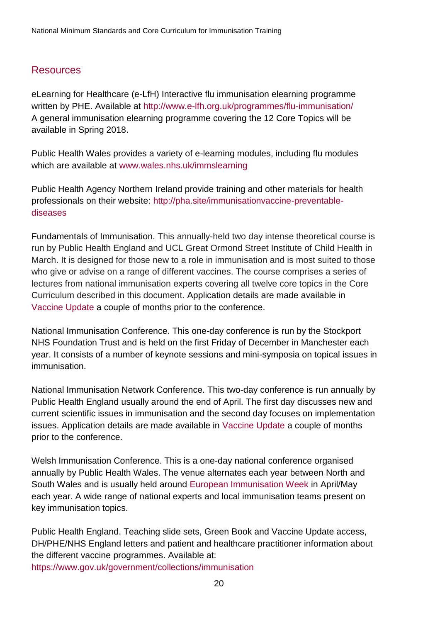#### <span id="page-19-0"></span>**Resources**

eLearning for Healthcare (e-LfH) Interactive flu immunisation elearning programme written by PHE. Available at<http://www.e-lfh.org.uk/programmes/flu-immunisation/> A general immunisation elearning programme covering the 12 Core Topics will be available in Spring 2018.

Public Health Wales provides a variety of e-learning modules, including flu modules which are available at [www.wales.nhs.uk/immslearning](http://www.wales.nhs.uk/immslearning)

Public Health Agency Northern Ireland provide training and other materials for health professionals on their website: [http://pha.site/immunisationvaccine-preventable](http://pha.site/immunisationvaccine-preventable-diseases)[diseases](http://pha.site/immunisationvaccine-preventable-diseases)

Fundamentals of Immunisation. This annually-held two day intense theoretical course is run by Public Health England and UCL Great Ormond Street Institute of Child Health in March. It is designed for those new to a role in immunisation and is most suited to those who give or advise on a range of different vaccines. The course comprises a series of lectures from national immunisation experts covering all twelve core topics in the Core Curriculum described in this document. Application details are made available in [Vaccine Update](https://www.gov.uk/government/collections/vaccine-update) a couple of months prior to the conference.

National Immunisation Conference. This one-day conference is run by the Stockport NHS Foundation Trust and is held on the first Friday of December in Manchester each year. It consists of a number of keynote sessions and mini-symposia on topical issues in immunisation.

National Immunisation Network Conference. This two-day conference is run annually by Public Health England usually around the end of April. The first day discusses new and current scientific issues in immunisation and the second day focuses on implementation issues. Application details are made available in [Vaccine Update](https://www.gov.uk/government/collections/vaccine-update) a couple of months prior to the conference.

Welsh Immunisation Conference. This is a one-day national conference organised annually by Public Health Wales. The venue alternates each year between North and South Wales and is usually held around [European Immunisation Week](http://www.euro.who.int/en/health-topics/disease-prevention/vaccines-and-immunization/european-immunization-week) in April/May each year. A wide range of national experts and local immunisation teams present on key immunisation topics.

Public Health England. Teaching slide sets, Green Book and Vaccine Update access, DH/PHE/NHS England letters and patient and healthcare practitioner information about the different vaccine programmes. Available at: <https://www.gov.uk/government/collections/immunisation>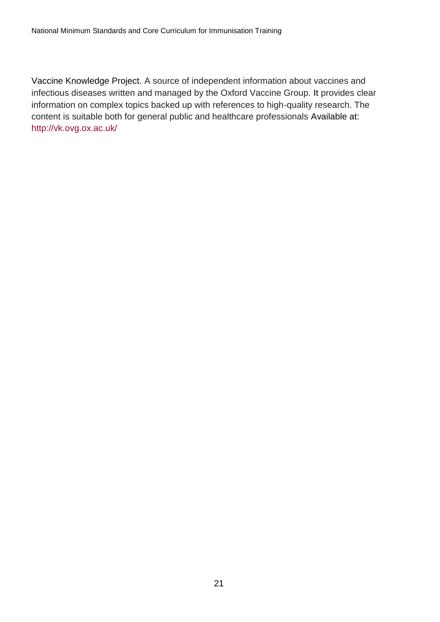Vaccine Knowledge Project. A source of independent information about vaccines and infectious diseases written and managed by the Oxford Vaccine Group. It provides clear information on complex topics backed up with references to high-quality research. The content is suitable both for general public and healthcare professionals Available at: <http://vk.ovg.ox.ac.uk/>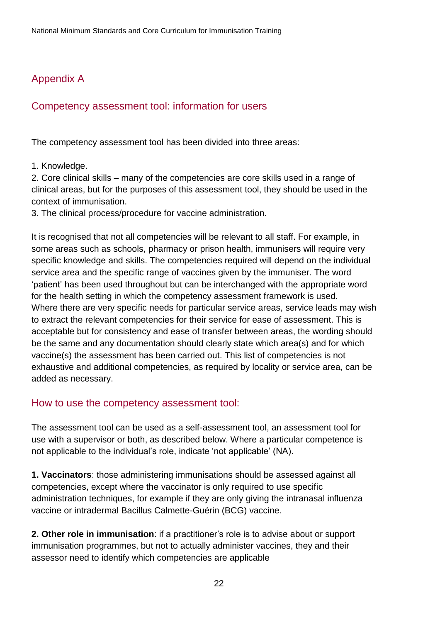## <span id="page-21-0"></span>Appendix A

#### <span id="page-21-1"></span>Competency assessment tool: information for users

The competency assessment tool has been divided into three areas:

#### 1. Knowledge.

2. Core clinical skills – many of the competencies are core skills used in a range of clinical areas, but for the purposes of this assessment tool, they should be used in the context of immunisation.

3. The clinical process/procedure for vaccine administration.

It is recognised that not all competencies will be relevant to all staff. For example, in some areas such as schools, pharmacy or prison health, immunisers will require very specific knowledge and skills. The competencies required will depend on the individual service area and the specific range of vaccines given by the immuniser. The word 'patient' has been used throughout but can be interchanged with the appropriate word for the health setting in which the competency assessment framework is used. Where there are very specific needs for particular service areas, service leads may wish to extract the relevant competencies for their service for ease of assessment. This is acceptable but for consistency and ease of transfer between areas, the wording should be the same and any documentation should clearly state which area(s) and for which vaccine(s) the assessment has been carried out. This list of competencies is not exhaustive and additional competencies, as required by locality or service area, can be added as necessary.

#### <span id="page-21-2"></span>How to use the competency assessment tool:

The assessment tool can be used as a self-assessment tool, an assessment tool for use with a supervisor or both, as described below. Where a particular competence is not applicable to the individual's role, indicate 'not applicable' (NA).

**1. Vaccinators**: those administering immunisations should be assessed against all competencies, except where the vaccinator is only required to use specific administration techniques, for example if they are only giving the intranasal influenza vaccine or intradermal Bacillus Calmette-Guérin (BCG) vaccine.

**2. Other role in immunisation**: if a practitioner's role is to advise about or support immunisation programmes, but not to actually administer vaccines, they and their assessor need to identify which competencies are applicable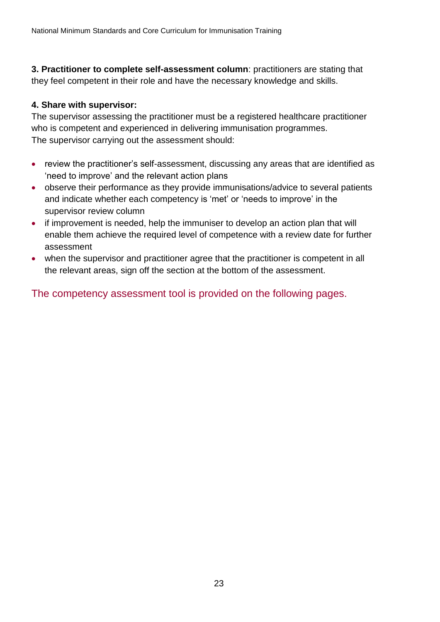**3. Practitioner to complete self-assessment column**: practitioners are stating that they feel competent in their role and have the necessary knowledge and skills.

#### **4. Share with supervisor:**

The supervisor assessing the practitioner must be a registered healthcare practitioner who is competent and experienced in delivering immunisation programmes. The supervisor carrying out the assessment should:

- review the practitioner's self-assessment, discussing any areas that are identified as 'need to improve' and the relevant action plans
- observe their performance as they provide immunisations/advice to several patients and indicate whether each competency is 'met' or 'needs to improve' in the supervisor review column
- if improvement is needed, help the immuniser to develop an action plan that will enable them achieve the required level of competence with a review date for further assessment
- when the supervisor and practitioner agree that the practitioner is competent in all the relevant areas, sign off the section at the bottom of the assessment.

The competency assessment tool is provided on the following pages.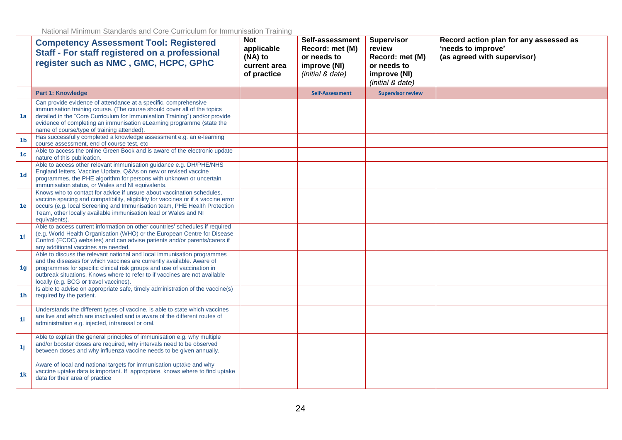|                | <b>Competency Assessment Tool: Registered</b><br>Staff - For staff registered on a professional<br>register such as NMC, GMC, HCPC, GPhC                                                                                                                                                                                                           | <b>Not</b><br>applicable<br>(NA) to<br>current area<br>of practice | Self-assessment<br>Record: met (M)<br>or needs to<br>improve (NI)<br>(initial & date) | <b>Supervisor</b><br>review<br>Record: met (M)<br>or needs to<br>improve (NI)<br>(initial & date) | Record action plan for any assessed as<br>'needs to improve'<br>(as agreed with supervisor) |
|----------------|----------------------------------------------------------------------------------------------------------------------------------------------------------------------------------------------------------------------------------------------------------------------------------------------------------------------------------------------------|--------------------------------------------------------------------|---------------------------------------------------------------------------------------|---------------------------------------------------------------------------------------------------|---------------------------------------------------------------------------------------------|
|                | <b>Part 1: Knowledge</b>                                                                                                                                                                                                                                                                                                                           |                                                                    | <b>Self-Assessment</b>                                                                | <b>Supervisor review</b>                                                                          |                                                                                             |
| 1a             | Can provide evidence of attendance at a specific, comprehensive<br>immunisation training course. (The course should cover all of the topics<br>detailed in the "Core Curriculum for Immunisation Training") and/or provide<br>evidence of completing an immunisation eLearning programme (state the<br>name of course/type of training attended).  |                                                                    |                                                                                       |                                                                                                   |                                                                                             |
| 1 <sub>b</sub> | Has successfully completed a knowledge assessment e.g. an e-learning<br>course assessment, end of course test, etc                                                                                                                                                                                                                                 |                                                                    |                                                                                       |                                                                                                   |                                                                                             |
| 1 <sub>c</sub> | Able to access the online Green Book and is aware of the electronic update<br>nature of this publication.                                                                                                                                                                                                                                          |                                                                    |                                                                                       |                                                                                                   |                                                                                             |
| 1 <sub>d</sub> | Able to access other relevant immunisation guidance e.g. DH/PHE/NHS<br>England letters, Vaccine Update, Q&As on new or revised vaccine<br>programmes, the PHE algorithm for persons with unknown or uncertain<br>immunisation status, or Wales and NI equivalents.                                                                                 |                                                                    |                                                                                       |                                                                                                   |                                                                                             |
| 1e             | Knows who to contact for advice if unsure about vaccination schedules,<br>vaccine spacing and compatibility, eligibility for vaccines or if a vaccine error<br>occurs (e.g. local Screening and Immunisation team, PHE Health Protection<br>Team, other locally available immunisation lead or Wales and NI<br>equivalents).                       |                                                                    |                                                                                       |                                                                                                   |                                                                                             |
| 1f             | Able to access current information on other countries' schedules if required<br>(e.g. World Health Organisation (WHO) or the European Centre for Disease<br>Control (ECDC) websites) and can advise patients and/or parents/carers if<br>any additional vaccines are needed.                                                                       |                                                                    |                                                                                       |                                                                                                   |                                                                                             |
| 1 <sub>g</sub> | Able to discuss the relevant national and local immunisation programmes<br>and the diseases for which vaccines are currently available. Aware of<br>programmes for specific clinical risk groups and use of vaccination in<br>outbreak situations. Knows where to refer to if vaccines are not available<br>locally (e.g. BCG or travel vaccines). |                                                                    |                                                                                       |                                                                                                   |                                                                                             |
| 1 <sup>h</sup> | Is able to advise on appropriate safe, timely administration of the vaccine(s)<br>required by the patient.                                                                                                                                                                                                                                         |                                                                    |                                                                                       |                                                                                                   |                                                                                             |
| 1i             | Understands the different types of vaccine, is able to state which vaccines<br>are live and which are inactivated and is aware of the different routes of<br>administration e.g. injected, intranasal or oral.                                                                                                                                     |                                                                    |                                                                                       |                                                                                                   |                                                                                             |
| 1j             | Able to explain the general principles of immunisation e.g. why multiple<br>and/or booster doses are required, why intervals need to be observed<br>between doses and why influenza vaccine needs to be given annually.                                                                                                                            |                                                                    |                                                                                       |                                                                                                   |                                                                                             |
| 1 <sub>k</sub> | Aware of local and national targets for immunisation uptake and why<br>vaccine uptake data is important. If appropriate, knows where to find uptake<br>data for their area of practice                                                                                                                                                             |                                                                    |                                                                                       |                                                                                                   |                                                                                             |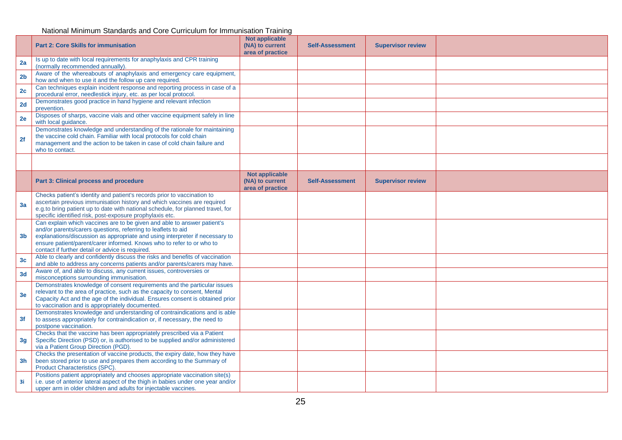|                | <b>Part 2: Core Skills for immunisation</b>                                                                                                                                                                                                                                                                                                           | Not applicable<br>(NA) to current<br>area of practice        | <b>Self-Assessment</b> | <b>Supervisor review</b> |  |
|----------------|-------------------------------------------------------------------------------------------------------------------------------------------------------------------------------------------------------------------------------------------------------------------------------------------------------------------------------------------------------|--------------------------------------------------------------|------------------------|--------------------------|--|
| 2a             | Is up to date with local requirements for anaphylaxis and CPR training<br>(normally recommended annually).                                                                                                                                                                                                                                            |                                                              |                        |                          |  |
| 2 <sub>b</sub> | Aware of the whereabouts of anaphylaxis and emergency care equipment,<br>how and when to use it and the follow up care required.                                                                                                                                                                                                                      |                                                              |                        |                          |  |
| 2c             | Can techniques explain incident response and reporting process in case of a<br>procedural error, needlestick injury, etc. as per local protocol.                                                                                                                                                                                                      |                                                              |                        |                          |  |
| 2d             | Demonstrates good practice in hand hygiene and relevant infection<br>prevention.                                                                                                                                                                                                                                                                      |                                                              |                        |                          |  |
| 2e             | Disposes of sharps, vaccine vials and other vaccine equipment safely in line<br>with local guidance.                                                                                                                                                                                                                                                  |                                                              |                        |                          |  |
| 2f             | Demonstrates knowledge and understanding of the rationale for maintaining<br>the vaccine cold chain. Familiar with local protocols for cold chain<br>management and the action to be taken in case of cold chain failure and<br>who to contact.                                                                                                       |                                                              |                        |                          |  |
|                |                                                                                                                                                                                                                                                                                                                                                       |                                                              |                        |                          |  |
|                | <b>Part 3: Clinical process and procedure</b>                                                                                                                                                                                                                                                                                                         | <b>Not applicable</b><br>(NA) to current<br>area of practice | <b>Self-Assessment</b> | <b>Supervisor review</b> |  |
| 3a             | Checks patient's identity and patient's records prior to vaccination to<br>ascertain previous immunisation history and which vaccines are required<br>e.g.to bring patient up to date with national schedule, for planned travel, for<br>specific identified risk, post-exposure prophylaxis etc.                                                     |                                                              |                        |                          |  |
| 3 <sub>b</sub> | Can explain which vaccines are to be given and able to answer patient's<br>and/or parents/carers questions, referring to leaflets to aid<br>explanations/discussion as appropriate and using interpreter if necessary to<br>ensure patient/parent/carer informed. Knows who to refer to or who to<br>contact if further detail or advice is required. |                                                              |                        |                          |  |
| 3 <sub>c</sub> | Able to clearly and confidently discuss the risks and benefits of vaccination<br>and able to address any concerns patients and/or parents/carers may have.                                                                                                                                                                                            |                                                              |                        |                          |  |
| 3d             | Aware of, and able to discuss, any current issues, controversies or<br>misconceptions surrounding immunisation.                                                                                                                                                                                                                                       |                                                              |                        |                          |  |
| 3e             | Demonstrates knowledge of consent requirements and the particular issues<br>relevant to the area of practice, such as the capacity to consent, Mental<br>Capacity Act and the age of the individual. Ensures consent is obtained prior<br>to vaccination and is appropriately documented.                                                             |                                                              |                        |                          |  |
| 3f             | Demonstrates knowledge and understanding of contraindications and is able<br>to assess appropriately for contraindication or, if necessary, the need to<br>postpone vaccination.                                                                                                                                                                      |                                                              |                        |                          |  |
| 3g             | Checks that the vaccine has been appropriately prescribed via a Patient<br>Specific Direction (PSD) or, is authorised to be supplied and/or administered<br>via a Patient Group Direction (PGD).                                                                                                                                                      |                                                              |                        |                          |  |
| 3h             | Checks the presentation of vaccine products, the expiry date, how they have<br>been stored prior to use and prepares them according to the Summary of<br>Product Characteristics (SPC).                                                                                                                                                               |                                                              |                        |                          |  |
| 3i             | Positions patient appropriately and chooses appropriate vaccination site(s)<br>i.e. use of anterior lateral aspect of the thigh in babies under one year and/or<br>upper arm in older children and adults for injectable vaccines.                                                                                                                    |                                                              |                        |                          |  |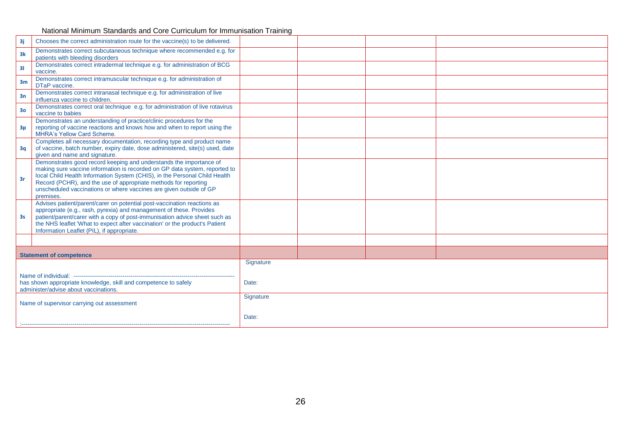National Minimum Standards and Core Curriculum for Immunisation Training

| 3j                                                      | Chooses the correct administration route for the vaccine(s) to be delivered.                                                                                                                                                                                                                                                                                                         |           |  |  |  |
|---------------------------------------------------------|--------------------------------------------------------------------------------------------------------------------------------------------------------------------------------------------------------------------------------------------------------------------------------------------------------------------------------------------------------------------------------------|-----------|--|--|--|
| 3k                                                      | Demonstrates correct subcutaneous technique where recommended e.g. for<br>patients with bleeding disorders                                                                                                                                                                                                                                                                           |           |  |  |  |
| 31                                                      | Demonstrates correct intradermal technique e.g. for administration of BCG<br>vaccine.                                                                                                                                                                                                                                                                                                |           |  |  |  |
| 3 <sub>m</sub>                                          | Demonstrates correct intramuscular technique e.g. for administration of<br>DTaP vaccine.                                                                                                                                                                                                                                                                                             |           |  |  |  |
| 3n                                                      | Demonstrates correct intranasal technique e.g. for administration of live<br>influenza vaccine to children.                                                                                                                                                                                                                                                                          |           |  |  |  |
| 3 <sub>o</sub>                                          | Demonstrates correct oral technique e.g. for administration of live rotavirus<br>vaccine to babies                                                                                                                                                                                                                                                                                   |           |  |  |  |
| 3p                                                      | Demonstrates an understanding of practice/clinic procedures for the<br>reporting of vaccine reactions and knows how and when to report using the<br>MHRA's Yellow Card Scheme.                                                                                                                                                                                                       |           |  |  |  |
| 3q                                                      | Completes all necessary documentation, recording type and product name<br>of vaccine, batch number, expiry date, dose administered, site(s) used, date<br>given and name and signature.                                                                                                                                                                                              |           |  |  |  |
| 3r                                                      | Demonstrates good record keeping and understands the importance of<br>making sure vaccine information is recorded on GP data system, reported to<br>local Child Health Information System (CHIS), in the Personal Child Health<br>Record (PCHR), and the use of appropriate methods for reporting<br>unscheduled vaccinations or where vaccines are given outside of GP<br>premises. |           |  |  |  |
| 3s                                                      | Advises patient/parent/carer on potential post-vaccination reactions as<br>appropriate (e.g., rash, pyrexia) and management of these. Provides<br>patient/parent/carer with a copy of post-immunisation advice sheet such as<br>the NHS leaflet 'What to expect after vaccination' or the product's Patient<br>Information Leaflet (PIL), if appropriate.                            |           |  |  |  |
|                                                         |                                                                                                                                                                                                                                                                                                                                                                                      |           |  |  |  |
|                                                         | <b>Statement of competence</b>                                                                                                                                                                                                                                                                                                                                                       |           |  |  |  |
|                                                         |                                                                                                                                                                                                                                                                                                                                                                                      | Signature |  |  |  |
|                                                         | has shown appropriate knowledge, skill and competence to safely<br>Date:<br>administer/advise about vaccinations.                                                                                                                                                                                                                                                                    |           |  |  |  |
| Signature<br>Name of supervisor carrying out assessment |                                                                                                                                                                                                                                                                                                                                                                                      |           |  |  |  |
| Date:                                                   |                                                                                                                                                                                                                                                                                                                                                                                      |           |  |  |  |
|                                                         |                                                                                                                                                                                                                                                                                                                                                                                      |           |  |  |  |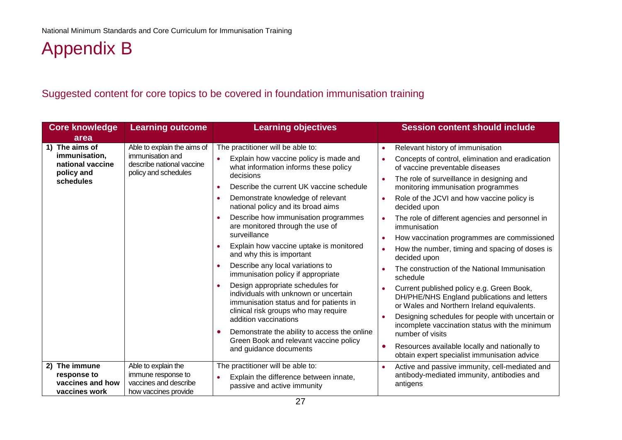# Appendix B

## Suggested content for core topics to be covered in foundation immunisation training

<span id="page-26-1"></span><span id="page-26-0"></span>

| <b>Core knowledge</b><br>area                                     | <b>Learning outcome</b>                                                                                                                                                                                                                                                                                                                                                                                                    | <b>Learning objectives</b>                                                                                              | <b>Session content should include</b>                                                                    |
|-------------------------------------------------------------------|----------------------------------------------------------------------------------------------------------------------------------------------------------------------------------------------------------------------------------------------------------------------------------------------------------------------------------------------------------------------------------------------------------------------------|-------------------------------------------------------------------------------------------------------------------------|----------------------------------------------------------------------------------------------------------|
| 1) The aims of                                                    | Able to explain the aims of                                                                                                                                                                                                                                                                                                                                                                                                | The practitioner will be able to:                                                                                       | Relevant history of immunisation                                                                         |
| immunisation,<br>national vaccine                                 | immunisation and<br>$\bullet$<br>describe national vaccine<br>policy and<br>policy and schedules<br>decisions<br>$\bullet$                                                                                                                                                                                                                                                                                                 | Explain how vaccine policy is made and<br>what information informs these policy                                         | Concepts of control, elimination and eradication<br>of vaccine preventable diseases                      |
| schedules                                                         |                                                                                                                                                                                                                                                                                                                                                                                                                            | Describe the current UK vaccine schedule                                                                                | The role of surveillance in designing and<br>monitoring immunisation programmes                          |
|                                                                   |                                                                                                                                                                                                                                                                                                                                                                                                                            | Demonstrate knowledge of relevant<br>$\bullet$<br>national policy and its broad aims                                    | Role of the JCVI and how vaccine policy is<br>decided upon                                               |
|                                                                   |                                                                                                                                                                                                                                                                                                                                                                                                                            | Describe how immunisation programmes<br>$\bullet$<br>are monitored through the use of                                   | The role of different agencies and personnel in<br>immunisation                                          |
|                                                                   |                                                                                                                                                                                                                                                                                                                                                                                                                            | surveillance                                                                                                            | How vaccination programmes are commissioned                                                              |
|                                                                   |                                                                                                                                                                                                                                                                                                                                                                                                                            | Explain how vaccine uptake is monitored<br>$\bullet$<br>and why this is important                                       | How the number, timing and spacing of doses is<br>decided upon                                           |
|                                                                   | Describe any local variations to<br>$\bullet$<br>immunisation policy if appropriate<br>Design appropriate schedules for<br>$\bullet$<br>individuals with unknown or uncertain<br>immunisation status and for patients in<br>clinical risk groups who may require<br>addition vaccinations<br>Demonstrate the ability to access the online<br>$\bullet$<br>Green Book and relevant vaccine policy<br>and guidance documents |                                                                                                                         | The construction of the National Immunisation<br>schedule                                                |
|                                                                   |                                                                                                                                                                                                                                                                                                                                                                                                                            |                                                                                                                         | Current published policy e.g. Green Book,<br>DH/PHE/NHS England publications and letters                 |
|                                                                   |                                                                                                                                                                                                                                                                                                                                                                                                                            |                                                                                                                         | or Wales and Northern Ireland equivalents.                                                               |
|                                                                   |                                                                                                                                                                                                                                                                                                                                                                                                                            | Designing schedules for people with uncertain or<br>incomplete vaccination status with the minimum<br>number of visits  |                                                                                                          |
|                                                                   |                                                                                                                                                                                                                                                                                                                                                                                                                            | Resources available locally and nationally to<br>obtain expert specialist immunisation advice                           |                                                                                                          |
| 2) The immune<br>response to<br>vaccines and how<br>vaccines work | Able to explain the<br>immune response to<br>vaccines and describe<br>how vaccines provide                                                                                                                                                                                                                                                                                                                                 | The practitioner will be able to:<br>Explain the difference between innate,<br>$\bullet$<br>passive and active immunity | Active and passive immunity, cell-mediated and<br>antibody-mediated immunity, antibodies and<br>antigens |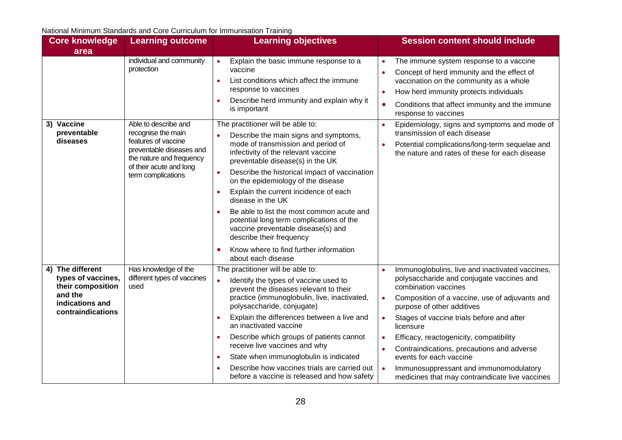National Minimum Standards and Core Curriculum for Immunisation Training

| <b>Core knowledge</b><br>area                                                                                  | <b>Learning outcome</b>                                                                                                                                                    | <b>Learning objectives</b>                                                                                                                                                                                                                                                                                                                                                                                                                                                                                                                                                                                                           | <b>Session content should include</b>                                                                                                                                                                                                                                                                                                                                                                                                                                                                                               |
|----------------------------------------------------------------------------------------------------------------|----------------------------------------------------------------------------------------------------------------------------------------------------------------------------|--------------------------------------------------------------------------------------------------------------------------------------------------------------------------------------------------------------------------------------------------------------------------------------------------------------------------------------------------------------------------------------------------------------------------------------------------------------------------------------------------------------------------------------------------------------------------------------------------------------------------------------|-------------------------------------------------------------------------------------------------------------------------------------------------------------------------------------------------------------------------------------------------------------------------------------------------------------------------------------------------------------------------------------------------------------------------------------------------------------------------------------------------------------------------------------|
|                                                                                                                | individual and community<br>protection                                                                                                                                     | Explain the basic immune response to a<br>$\bullet$<br>vaccine<br>List conditions which affect the immune<br>$\bullet$<br>response to vaccines<br>Describe herd immunity and explain why it<br>٠<br>is important                                                                                                                                                                                                                                                                                                                                                                                                                     | The immune system response to a vaccine<br>Concept of herd immunity and the effect of<br>vaccination on the community as a whole<br>How herd immunity protects individuals<br>Conditions that affect immunity and the immune<br>$\bullet$<br>response to vaccines                                                                                                                                                                                                                                                                   |
| 3) Vaccine<br>preventable<br>diseases                                                                          | Able to describe and<br>recognise the main<br>features of vaccine<br>preventable diseases and<br>the nature and frequency<br>of their acute and long<br>term complications | The practitioner will be able to:<br>Describe the main signs and symptoms,<br>$\bullet$<br>mode of transmission and period of<br>infectivity of the relevant vaccine<br>preventable disease(s) in the UK<br>Describe the historical impact of vaccination<br>$\bullet$<br>on the epidemiology of the disease<br>Explain the current incidence of each<br>$\bullet$<br>disease in the UK<br>Be able to list the most common acute and<br>$\bullet$<br>potential long term complications of the<br>vaccine preventable disease(s) and<br>describe their frequency<br>Know where to find further information<br>٠<br>about each disease | Epidemiology, signs and symptoms and mode of<br>transmission of each disease<br>Potential complications/long-term sequelae and<br>the nature and rates of these for each disease                                                                                                                                                                                                                                                                                                                                                    |
| 4) The different<br>types of vaccines,<br>their composition<br>and the<br>indications and<br>contraindications | Has knowledge of the<br>different types of vaccines<br>used                                                                                                                | The practitioner will be able to:<br>Identify the types of vaccine used to<br>$\bullet$<br>prevent the diseases relevant to their<br>practice (immunoglobulin, live, inactivated,<br>polysaccharide, conjugate)<br>Explain the differences between a live and<br>$\bullet$<br>an inactivated vaccine<br>Describe which groups of patients cannot<br>$\bullet$<br>receive live vaccines and why<br>State when immunoglobulin is indicated<br>$\bullet$<br>Describe how vaccines trials are carried out<br>$\bullet$<br>before a vaccine is released and how safety                                                                    | Immunoglobulins, live and inactivated vaccines,<br>polysaccharide and conjugate vaccines and<br>combination vaccines<br>Composition of a vaccine, use of adjuvants and<br>$\bullet$<br>purpose of other additives<br>Stages of vaccine trials before and after<br>$\bullet$<br>licensure<br>Efficacy, reactogenicity, compatibility<br>$\bullet$<br>Contraindications, precautions and adverse<br>events for each vaccine<br>Immunosuppressant and immunomodulatory<br>$\bullet$<br>medicines that may contraindicate live vaccines |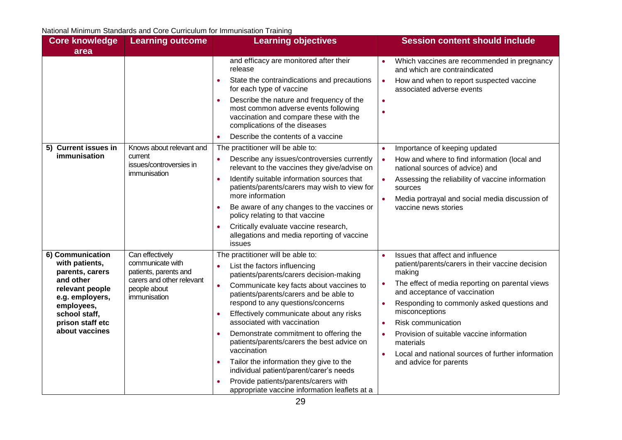| <b>Core knowledge</b>              | <b>Learning outcome</b>                                | <b>Learning objectives</b>                                                                                                                                               | <b>Session content should include</b>                                                    |                                                                                                   |                                                                                  |
|------------------------------------|--------------------------------------------------------|--------------------------------------------------------------------------------------------------------------------------------------------------------------------------|------------------------------------------------------------------------------------------|---------------------------------------------------------------------------------------------------|----------------------------------------------------------------------------------|
| area                               |                                                        |                                                                                                                                                                          |                                                                                          |                                                                                                   |                                                                                  |
|                                    |                                                        | and efficacy are monitored after their<br>release                                                                                                                        | Which vaccines are recommended in pregnancy<br>and which are contraindicated             |                                                                                                   |                                                                                  |
|                                    |                                                        | State the contraindications and precautions<br>for each type of vaccine                                                                                                  | How and when to report suspected vaccine<br>$\bullet$<br>associated adverse events       |                                                                                                   |                                                                                  |
|                                    |                                                        | Describe the nature and frequency of the<br>$\bullet$<br>most common adverse events following<br>vaccination and compare these with the<br>complications of the diseases | $\bullet$                                                                                |                                                                                                   |                                                                                  |
|                                    |                                                        | Describe the contents of a vaccine                                                                                                                                       |                                                                                          |                                                                                                   |                                                                                  |
| 5) Current issues in               | Knows about relevant and                               | The practitioner will be able to:                                                                                                                                        | Importance of keeping updated                                                            |                                                                                                   |                                                                                  |
| immunisation                       | current<br>issues/controversies in<br>immunisation     | Describe any issues/controversies currently<br>relevant to the vaccines they give/advise on                                                                              | How and where to find information (local and<br>national sources of advice) and          |                                                                                                   |                                                                                  |
|                                    |                                                        | Identify suitable information sources that<br>patients/parents/carers may wish to view for                                                                               | Assessing the reliability of vaccine information<br>sources                              |                                                                                                   |                                                                                  |
|                                    |                                                        | more information                                                                                                                                                         | Media portrayal and social media discussion of                                           |                                                                                                   |                                                                                  |
|                                    |                                                        | Be aware of any changes to the vaccines or<br>$\bullet$<br>policy relating to that vaccine                                                                               | vaccine news stories                                                                     |                                                                                                   |                                                                                  |
|                                    |                                                        | Critically evaluate vaccine research,<br>allegations and media reporting of vaccine<br>issues                                                                            |                                                                                          |                                                                                                   |                                                                                  |
| 6) Communication                   | Can effectively                                        | The practitioner will be able to:                                                                                                                                        | Issues that affect and influence                                                         |                                                                                                   |                                                                                  |
| with patients,<br>parents, carers  | communicate with<br>patients, parents and              | List the factors influencing<br>patients/parents/carers decision-making                                                                                                  | patient/parents/carers in their vaccine decision<br>making                               |                                                                                                   |                                                                                  |
| relevant people<br>e.g. employers, | and other<br>carers and other relevant<br>people about |                                                                                                                                                                          |                                                                                          | Communicate key facts about vaccines to<br>patients/parents/carers and be able to<br>immunisation | The effect of media reporting on parental views<br>and acceptance of vaccination |
| employees,                         |                                                        | respond to any questions/concerns                                                                                                                                        | Responding to commonly asked questions and                                               |                                                                                                   |                                                                                  |
| school staff,                      |                                                        | Effectively communicate about any risks<br>$\bullet$                                                                                                                     | misconceptions                                                                           |                                                                                                   |                                                                                  |
| prison staff etc<br>about vaccines |                                                        | associated with vaccination                                                                                                                                              | Risk communication                                                                       |                                                                                                   |                                                                                  |
|                                    |                                                        | Demonstrate commitment to offering the<br>patients/parents/carers the best advice on<br>vaccination                                                                      | Provision of suitable vaccine information<br>materials                                   |                                                                                                   |                                                                                  |
|                                    |                                                        | Tailor the information they give to the<br>$\bullet$<br>individual patient/parent/carer's needs                                                                          | Local and national sources of further information<br>$\bullet$<br>and advice for parents |                                                                                                   |                                                                                  |
|                                    |                                                        | Provide patients/parents/carers with<br>appropriate vaccine information leaflets at a                                                                                    |                                                                                          |                                                                                                   |                                                                                  |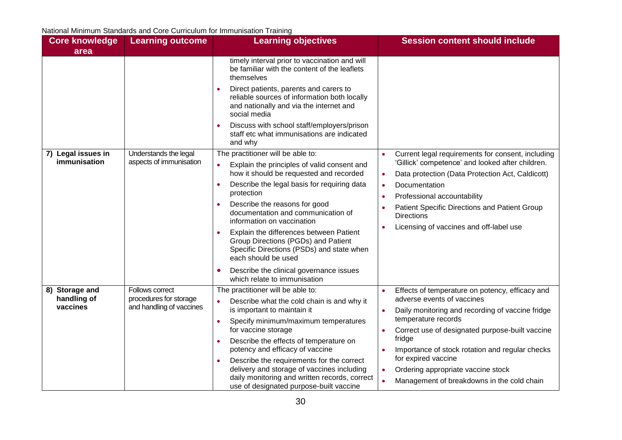| <b>Core knowledge</b>   | <b>Learning outcome</b>                                                                                     | <b>Learning objectives</b>                                                                                                                                     | <b>Session content should include</b>                                   |
|-------------------------|-------------------------------------------------------------------------------------------------------------|----------------------------------------------------------------------------------------------------------------------------------------------------------------|-------------------------------------------------------------------------|
| area                    |                                                                                                             |                                                                                                                                                                |                                                                         |
|                         | timely interval prior to vaccination and will<br>be familiar with the content of the leaflets<br>themselves |                                                                                                                                                                |                                                                         |
|                         |                                                                                                             | Direct patients, parents and carers to<br>$\bullet$<br>reliable sources of information both locally<br>and nationally and via the internet and<br>social media |                                                                         |
|                         |                                                                                                             | Discuss with school staff/employers/prison<br>staff etc what immunisations are indicated<br>and why                                                            |                                                                         |
| 7) Legal issues in      | Understands the legal<br>aspects of immunisation                                                            | The practitioner will be able to:                                                                                                                              | Current legal requirements for consent, including                       |
| immunisation            |                                                                                                             | Explain the principles of valid consent and                                                                                                                    | 'Gillick' competence' and looked after children.                        |
|                         |                                                                                                             | how it should be requested and recorded                                                                                                                        | Data protection (Data Protection Act, Caldicott)<br>$\bullet$           |
|                         |                                                                                                             | Describe the legal basis for requiring data<br>$\bullet$<br>protection                                                                                         | Documentation                                                           |
|                         |                                                                                                             | Describe the reasons for good                                                                                                                                  | Professional accountability                                             |
|                         |                                                                                                             | documentation and communication of<br>information on vaccination                                                                                               | Patient Specific Directions and Patient Group<br><b>Directions</b>      |
|                         |                                                                                                             | Explain the differences between Patient<br>Group Directions (PGDs) and Patient<br>Specific Directions (PSDs) and state when<br>each should be used             | Licensing of vaccines and off-label use                                 |
|                         |                                                                                                             | Describe the clinical governance issues<br>which relate to immunisation                                                                                        |                                                                         |
| 8) Storage and          | Follows correct                                                                                             | The practitioner will be able to:                                                                                                                              | Effects of temperature on potency, efficacy and                         |
| handling of<br>vaccines | procedures for storage<br>and handling of vaccines                                                          | Describe what the cold chain is and why it<br>is important to maintain it<br>Specify minimum/maximum temperatures<br>$\bullet$<br>for vaccine storage          | adverse events of vaccines                                              |
|                         |                                                                                                             |                                                                                                                                                                | Daily monitoring and recording of vaccine fridge<br>temperature records |
|                         |                                                                                                             |                                                                                                                                                                | Correct use of designated purpose-built vaccine<br>$\bullet$            |
|                         |                                                                                                             | Describe the effects of temperature on<br>$\bullet$                                                                                                            | fridge                                                                  |
|                         |                                                                                                             | potency and efficacy of vaccine                                                                                                                                | Importance of stock rotation and regular checks                         |
|                         |                                                                                                             | Describe the requirements for the correct                                                                                                                      | for expired vaccine                                                     |
|                         |                                                                                                             | delivery and storage of vaccines including                                                                                                                     | Ordering appropriate vaccine stock<br>$\bullet$                         |
|                         |                                                                                                             | daily monitoring and written records, correct<br>use of designated purpose-built vaccine                                                                       | Management of breakdowns in the cold chain<br>$\bullet$                 |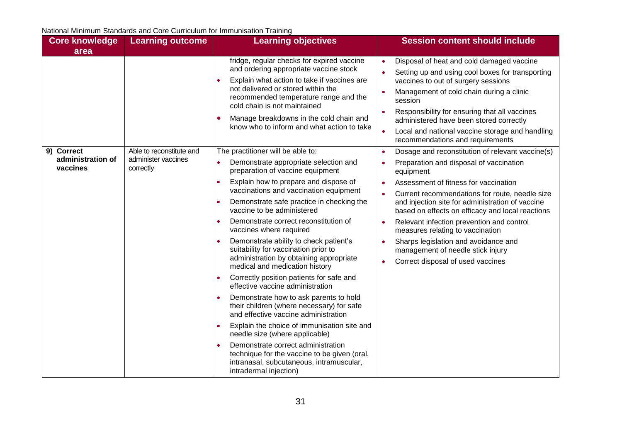| <b>Core knowledge</b><br>area               | <b>Learning outcome</b>                                      | <b>Learning objectives</b>                                                                                                                                                                                                                                                                                                                                                                                                                                                                                                                                                                                                                                                                                                                                                                                                                                                                                                                                                                                                                   | <b>Session content should include</b>                                                                                                                                                                                                                                                                                                                                                                                                                                                                                                                                                        |
|---------------------------------------------|--------------------------------------------------------------|----------------------------------------------------------------------------------------------------------------------------------------------------------------------------------------------------------------------------------------------------------------------------------------------------------------------------------------------------------------------------------------------------------------------------------------------------------------------------------------------------------------------------------------------------------------------------------------------------------------------------------------------------------------------------------------------------------------------------------------------------------------------------------------------------------------------------------------------------------------------------------------------------------------------------------------------------------------------------------------------------------------------------------------------|----------------------------------------------------------------------------------------------------------------------------------------------------------------------------------------------------------------------------------------------------------------------------------------------------------------------------------------------------------------------------------------------------------------------------------------------------------------------------------------------------------------------------------------------------------------------------------------------|
|                                             |                                                              | fridge, regular checks for expired vaccine<br>and ordering appropriate vaccine stock<br>Explain what action to take if vaccines are<br>not delivered or stored within the<br>recommended temperature range and the<br>cold chain is not maintained<br>Manage breakdowns in the cold chain and<br>know who to inform and what action to take                                                                                                                                                                                                                                                                                                                                                                                                                                                                                                                                                                                                                                                                                                  | Disposal of heat and cold damaged vaccine<br>$\bullet$<br>Setting up and using cool boxes for transporting<br>vaccines to out of surgery sessions<br>Management of cold chain during a clinic<br>$\bullet$<br>session<br>Responsibility for ensuring that all vaccines<br>$\bullet$<br>administered have been stored correctly<br>Local and national vaccine storage and handling<br>$\bullet$<br>recommendations and requirements                                                                                                                                                           |
| 9) Correct<br>administration of<br>vaccines | Able to reconstitute and<br>administer vaccines<br>correctly | The practitioner will be able to:<br>Demonstrate appropriate selection and<br>$\bullet$<br>preparation of vaccine equipment<br>Explain how to prepare and dispose of<br>$\bullet$<br>vaccinations and vaccination equipment<br>Demonstrate safe practice in checking the<br>$\bullet$<br>vaccine to be administered<br>Demonstrate correct reconstitution of<br>$\bullet$<br>vaccines where required<br>Demonstrate ability to check patient's<br>suitability for vaccination prior to<br>administration by obtaining appropriate<br>medical and medication history<br>Correctly position patients for safe and<br>effective vaccine administration<br>Demonstrate how to ask parents to hold<br>their children (where necessary) for safe<br>and effective vaccine administration<br>Explain the choice of immunisation site and<br>$\bullet$<br>needle size (where applicable)<br>Demonstrate correct administration<br>technique for the vaccine to be given (oral,<br>intranasal, subcutaneous, intramuscular,<br>intradermal injection) | Dosage and reconstitution of relevant vaccine(s)<br>$\bullet$<br>Preparation and disposal of vaccination<br>$\bullet$<br>equipment<br>Assessment of fitness for vaccination<br>$\bullet$<br>Current recommendations for route, needle size<br>$\bullet$<br>and injection site for administration of vaccine<br>based on effects on efficacy and local reactions<br>Relevant infection prevention and control<br>$\bullet$<br>measures relating to vaccination<br>Sharps legislation and avoidance and<br>management of needle stick injury<br>Correct disposal of used vaccines<br>$\bullet$ |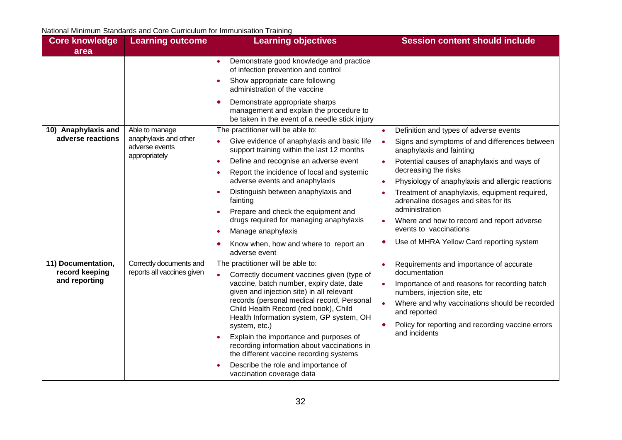| <b>Core knowledge</b>                                 | <b>Learning outcome</b>                                  | <b>Learning objectives</b>                                                                                                                                                                                                                | <b>Session content should include</b>                                                  |
|-------------------------------------------------------|----------------------------------------------------------|-------------------------------------------------------------------------------------------------------------------------------------------------------------------------------------------------------------------------------------------|----------------------------------------------------------------------------------------|
| area                                                  |                                                          | Demonstrate good knowledge and practice<br>$\bullet$                                                                                                                                                                                      |                                                                                        |
|                                                       |                                                          | of infection prevention and control<br>Show appropriate care following<br>$\bullet$<br>administration of the vaccine                                                                                                                      |                                                                                        |
|                                                       |                                                          | Demonstrate appropriate sharps<br>O<br>management and explain the procedure to<br>be taken in the event of a needle stick injury                                                                                                          |                                                                                        |
| 10) Anaphylaxis and                                   | Able to manage                                           | The practitioner will be able to:                                                                                                                                                                                                         | Definition and types of adverse events                                                 |
| adverse reactions                                     | anaphylaxis and other<br>adverse events<br>appropriately | Give evidence of anaphylaxis and basic life<br>support training within the last 12 months                                                                                                                                                 | Signs and symptoms of and differences between<br>$\bullet$<br>anaphylaxis and fainting |
|                                                       |                                                          | Define and recognise an adverse event<br>$\bullet$                                                                                                                                                                                        | Potential causes of anaphylaxis and ways of                                            |
|                                                       |                                                          | Report the incidence of local and systemic<br>$\bullet$                                                                                                                                                                                   | decreasing the risks                                                                   |
|                                                       |                                                          | adverse events and anaphylaxis                                                                                                                                                                                                            | Physiology of anaphylaxis and allergic reactions                                       |
|                                                       |                                                          | Distinguish between anaphylaxis and<br>$\bullet$<br>fainting                                                                                                                                                                              | Treatment of anaphylaxis, equipment required,<br>adrenaline dosages and sites for its  |
|                                                       |                                                          | Prepare and check the equipment and<br>drugs required for managing anaphylaxis                                                                                                                                                            | administration<br>Where and how to record and report adverse                           |
|                                                       |                                                          | Manage anaphylaxis<br>$\bullet$                                                                                                                                                                                                           | events to vaccinations                                                                 |
|                                                       |                                                          | Know when, how and where to report an<br>٠<br>adverse event                                                                                                                                                                               | Use of MHRA Yellow Card reporting system                                               |
| 11) Documentation,<br>record keeping<br>and reporting | Correctly documents and<br>reports all vaccines given    | The practitioner will be able to:<br>Correctly document vaccines given (type of                                                                                                                                                           | Requirements and importance of accurate<br>documentation                               |
|                                                       |                                                          | vaccine, batch number, expiry date, date<br>given and injection site) in all relevant<br>records (personal medical record, Personal<br>Child Health Record (red book), Child<br>Health Information system, GP system, OH<br>system, etc.) | Importance of and reasons for recording batch<br>numbers, injection site, etc          |
|                                                       |                                                          |                                                                                                                                                                                                                                           | Where and why vaccinations should be recorded<br>and reported                          |
|                                                       |                                                          |                                                                                                                                                                                                                                           | Policy for reporting and recording vaccine errors<br>and incidents                     |
|                                                       |                                                          | Explain the importance and purposes of<br>$\bullet$<br>recording information about vaccinations in<br>the different vaccine recording systems                                                                                             |                                                                                        |
|                                                       |                                                          | Describe the role and importance of<br>$\bullet$<br>vaccination coverage data                                                                                                                                                             |                                                                                        |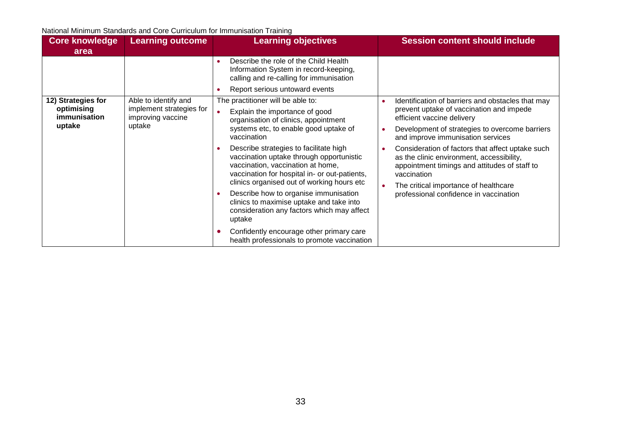| <b>Core knowledge</b><br>area                              | <b>Learning outcome</b>                                                         | <b>Learning objectives</b>                                                                                                                                                                                                                                                                                                                                                                                                                                                                                                                                                                                                            | <b>Session content should include</b>                                                                                                                                                                                                                                                                                                                                                                                                                                  |
|------------------------------------------------------------|---------------------------------------------------------------------------------|---------------------------------------------------------------------------------------------------------------------------------------------------------------------------------------------------------------------------------------------------------------------------------------------------------------------------------------------------------------------------------------------------------------------------------------------------------------------------------------------------------------------------------------------------------------------------------------------------------------------------------------|------------------------------------------------------------------------------------------------------------------------------------------------------------------------------------------------------------------------------------------------------------------------------------------------------------------------------------------------------------------------------------------------------------------------------------------------------------------------|
|                                                            |                                                                                 | Describe the role of the Child Health<br>Information System in record-keeping,<br>calling and re-calling for immunisation<br>Report serious untoward events                                                                                                                                                                                                                                                                                                                                                                                                                                                                           |                                                                                                                                                                                                                                                                                                                                                                                                                                                                        |
| 12) Strategies for<br>optimising<br>immunisation<br>uptake | Able to identify and<br>implement strategies for<br>improving vaccine<br>uptake | The practitioner will be able to:<br>Explain the importance of good<br>organisation of clinics, appointment<br>systems etc, to enable good uptake of<br>vaccination<br>Describe strategies to facilitate high<br>vaccination uptake through opportunistic<br>vaccination, vaccination at home,<br>vaccination for hospital in- or out-patients,<br>clinics organised out of working hours etc<br>Describe how to organise immunisation<br>clinics to maximise uptake and take into<br>consideration any factors which may affect<br>uptake<br>Confidently encourage other primary care<br>health professionals to promote vaccination | Identification of barriers and obstacles that may<br>prevent uptake of vaccination and impede<br>efficient vaccine delivery<br>Development of strategies to overcome barriers<br>and improve immunisation services<br>Consideration of factors that affect uptake such<br>as the clinic environment, accessibility,<br>appointment timings and attitudes of staff to<br>vaccination<br>The critical importance of healthcare<br>professional confidence in vaccination |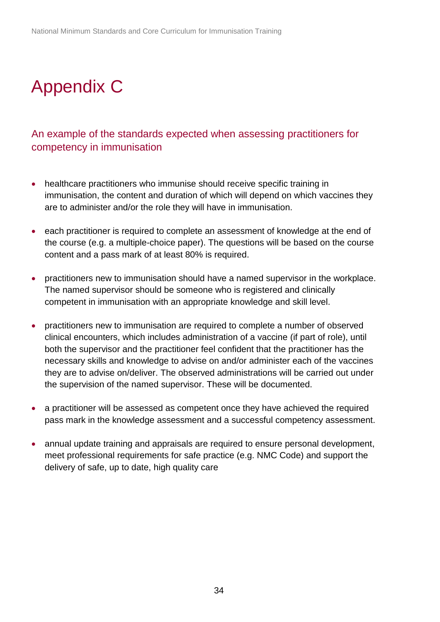# <span id="page-33-0"></span>Appendix C

#### <span id="page-33-1"></span>An example of the standards expected when assessing practitioners for competency in immunisation

- healthcare practitioners who immunise should receive specific training in immunisation, the content and duration of which will depend on which vaccines they are to administer and/or the role they will have in immunisation.
- each practitioner is required to complete an assessment of knowledge at the end of the course (e.g. a multiple-choice paper). The questions will be based on the course content and a pass mark of at least 80% is required.
- practitioners new to immunisation should have a named supervisor in the workplace. The named supervisor should be someone who is registered and clinically competent in immunisation with an appropriate knowledge and skill level.
- practitioners new to immunisation are required to complete a number of observed clinical encounters, which includes administration of a vaccine (if part of role), until both the supervisor and the practitioner feel confident that the practitioner has the necessary skills and knowledge to advise on and/or administer each of the vaccines they are to advise on/deliver. The observed administrations will be carried out under the supervision of the named supervisor. These will be documented.
- a practitioner will be assessed as competent once they have achieved the required pass mark in the knowledge assessment and a successful competency assessment.
- annual update training and appraisals are required to ensure personal development, meet professional requirements for safe practice (e.g. NMC Code) and support the delivery of safe, up to date, high quality care